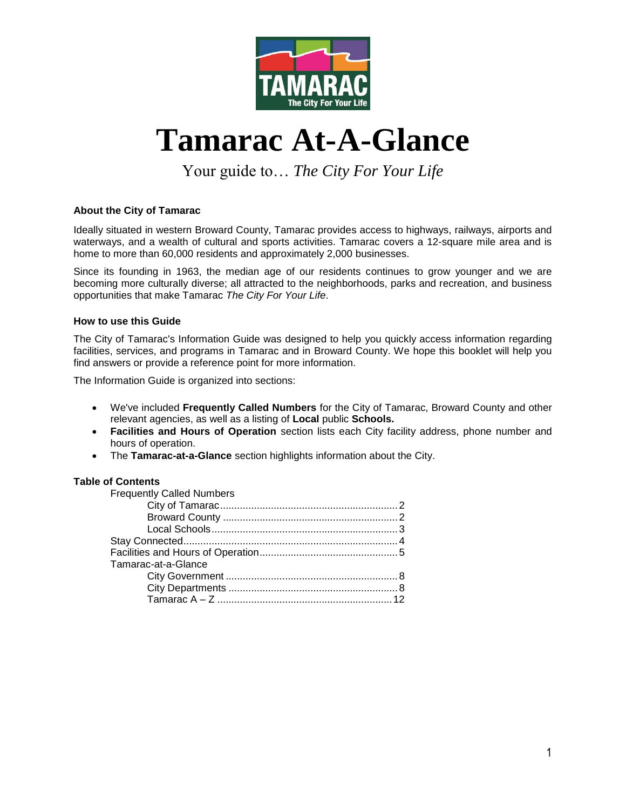

## **Tamarac At-A-Glance**

Your guide to… *The City For Your Life*

#### **About the City of Tamarac**

Ideally situated in western Broward County, Tamarac provides access to highways, railways, airports and waterways, and a wealth of cultural and sports activities. Tamarac covers a 12-square mile area and is home to more than 60,000 residents and approximately 2,000 businesses.

Since its founding in 1963, the median age of our residents continues to grow younger and we are becoming more culturally diverse; all attracted to the neighborhoods, parks and recreation, and business opportunities that make Tamarac *The City For Your Life*.

#### **How to use this Guide**

The City of Tamarac's Information Guide was designed to help you quickly access information regarding facilities, services, and programs in Tamarac and in Broward County. We hope this booklet will help you find answers or provide a reference point for more information.

The Information Guide is organized into sections:

- We've included **Frequently Called Numbers** for the City of Tamarac, Broward County and other relevant agencies, as well as a listing of **Local** public **Schools.**
- **Facilities and Hours of Operation** section lists each City facility address, phone number and hours of operation.
- The **Tamarac-at-a-Glance** section highlights information about the City.

#### **Table of Contents**

| <b>Frequently Called Numbers</b> |  |
|----------------------------------|--|
|                                  |  |
|                                  |  |
|                                  |  |
|                                  |  |
|                                  |  |
| Tamarac-at-a-Glance              |  |
|                                  |  |
|                                  |  |
|                                  |  |
|                                  |  |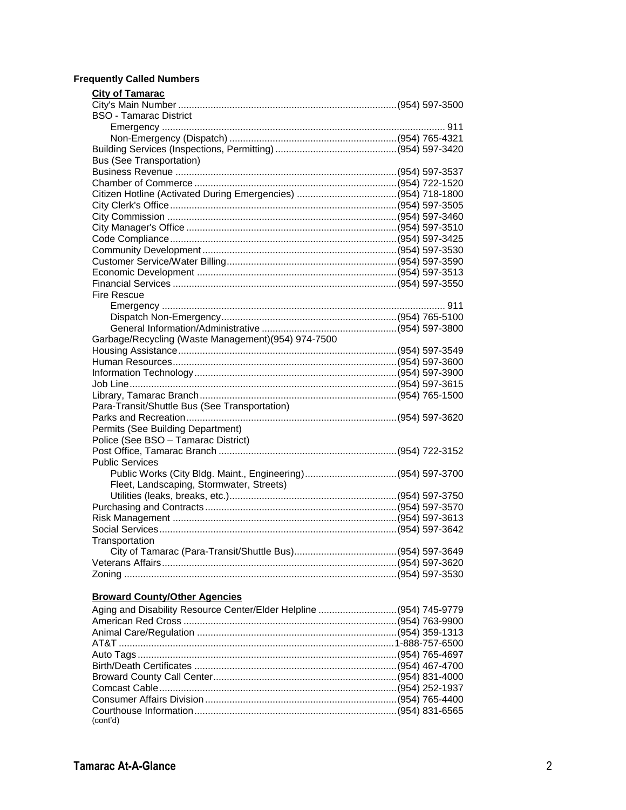#### **Frequently Called Numbers**

| <b>City of Tamarac</b>                                      |  |
|-------------------------------------------------------------|--|
|                                                             |  |
| <b>BSO - Tamarac District</b>                               |  |
|                                                             |  |
|                                                             |  |
|                                                             |  |
| <b>Bus (See Transportation)</b>                             |  |
|                                                             |  |
|                                                             |  |
|                                                             |  |
|                                                             |  |
|                                                             |  |
|                                                             |  |
|                                                             |  |
|                                                             |  |
|                                                             |  |
|                                                             |  |
|                                                             |  |
| <b>Fire Rescue</b>                                          |  |
|                                                             |  |
|                                                             |  |
|                                                             |  |
| Garbage/Recycling (Waste Management) (954) 974-7500         |  |
|                                                             |  |
|                                                             |  |
|                                                             |  |
|                                                             |  |
|                                                             |  |
| Para-Transit/Shuttle Bus (See Transportation)               |  |
|                                                             |  |
| Permits (See Building Department)                           |  |
| Police (See BSO - Tamarac District)                         |  |
|                                                             |  |
| <b>Public Services</b>                                      |  |
| Public Works (City Bldg. Maint., Engineering)(954) 597-3700 |  |
| Fleet, Landscaping, Stormwater, Streets)                    |  |
|                                                             |  |
|                                                             |  |
|                                                             |  |
|                                                             |  |
| Transportation                                              |  |
|                                                             |  |
|                                                             |  |
|                                                             |  |
|                                                             |  |
| <b>Broward County/Other Agencies</b>                        |  |

#### Aging and Disability Resource Center/Elder Helpline .............................(954) 745-9779 American Red Cross ...............................................................................(954) 763-9900 Animal Care/Regulation ..........................................................................(954) 359-1313 AT&T ......................................................................................................1-888-757-6500 Auto Tags ................................................................................................(954) 765-4697 Birth/Death Certificates ...........................................................................(954) 467-4700 Broward County Call Center....................................................................(954) 831-4000 Comcast Cable........................................................................................(954) 252-1937 Consumer Affairs Division .......................................................................(954) 765-4400 Courthouse Information...........................................................................(954) 831-6565 (cont'd)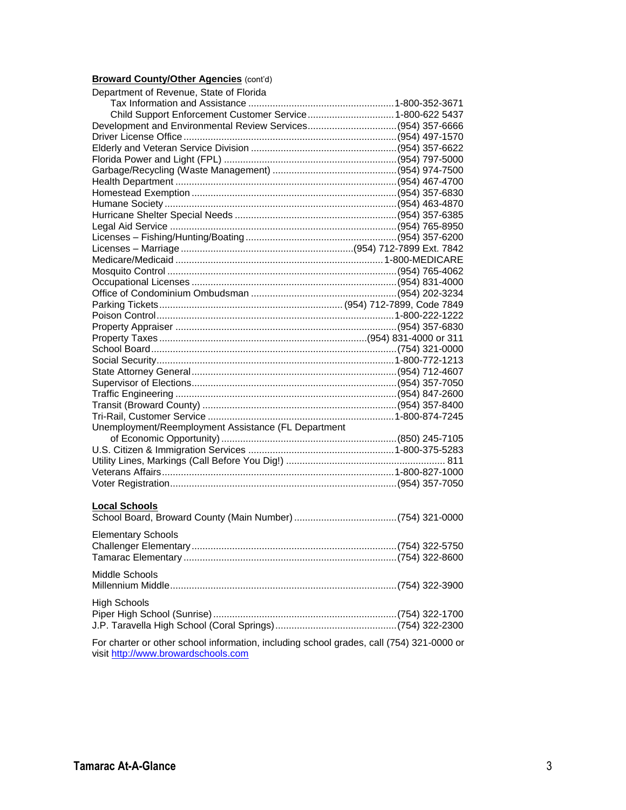#### **Broward County/Other Agencies (cont'd)**

| Department of Revenue, State of Florida                                                                                         |  |  |
|---------------------------------------------------------------------------------------------------------------------------------|--|--|
|                                                                                                                                 |  |  |
| Child Support Enforcement Customer Service 1-800-622 5437                                                                       |  |  |
| Development and Environmental Review Services(954) 357-6666                                                                     |  |  |
|                                                                                                                                 |  |  |
|                                                                                                                                 |  |  |
|                                                                                                                                 |  |  |
|                                                                                                                                 |  |  |
|                                                                                                                                 |  |  |
|                                                                                                                                 |  |  |
|                                                                                                                                 |  |  |
|                                                                                                                                 |  |  |
|                                                                                                                                 |  |  |
|                                                                                                                                 |  |  |
|                                                                                                                                 |  |  |
|                                                                                                                                 |  |  |
|                                                                                                                                 |  |  |
|                                                                                                                                 |  |  |
|                                                                                                                                 |  |  |
|                                                                                                                                 |  |  |
|                                                                                                                                 |  |  |
|                                                                                                                                 |  |  |
|                                                                                                                                 |  |  |
|                                                                                                                                 |  |  |
|                                                                                                                                 |  |  |
|                                                                                                                                 |  |  |
|                                                                                                                                 |  |  |
|                                                                                                                                 |  |  |
|                                                                                                                                 |  |  |
|                                                                                                                                 |  |  |
| Unemployment/Reemployment Assistance (FL Department                                                                             |  |  |
|                                                                                                                                 |  |  |
|                                                                                                                                 |  |  |
|                                                                                                                                 |  |  |
|                                                                                                                                 |  |  |
|                                                                                                                                 |  |  |
|                                                                                                                                 |  |  |
| <b>Local Schools</b>                                                                                                            |  |  |
|                                                                                                                                 |  |  |
|                                                                                                                                 |  |  |
| <b>Elementary Schools</b>                                                                                                       |  |  |
|                                                                                                                                 |  |  |
|                                                                                                                                 |  |  |
|                                                                                                                                 |  |  |
| Middle Schools                                                                                                                  |  |  |
|                                                                                                                                 |  |  |
| <b>High Schools</b>                                                                                                             |  |  |
|                                                                                                                                 |  |  |
|                                                                                                                                 |  |  |
|                                                                                                                                 |  |  |
| For charter or other school information, including school grades, call (754) 321-0000 or<br>visit http://www.browardschools.com |  |  |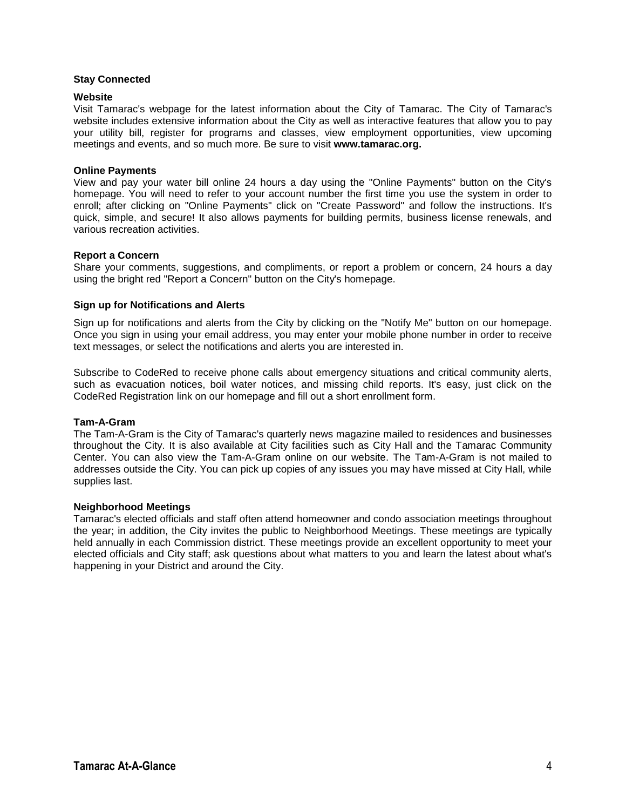#### **Stay Connected**

#### **Website**

Visit Tamarac's webpage for the latest information about the City of Tamarac. The City of Tamarac's website includes extensive information about the City as well as interactive features that allow you to pay your utility bill, register for programs and classes, view employment opportunities, view upcoming meetings and events, and so much more. Be sure to visit **www.tamarac.org.**

#### **Online Payments**

View and pay your water bill online 24 hours a day using the "Online Payments" button on the City's homepage. You will need to refer to your account number the first time you use the system in order to enroll; after clicking on "Online Payments" click on "Create Password" and follow the instructions. It's quick, simple, and secure! It also allows payments for building permits, business license renewals, and various recreation activities.

#### **Report a Concern**

Share your comments, suggestions, and compliments, or report a problem or concern, 24 hours a day using the bright red "Report a Concern" button on the City's homepage.

#### **Sign up for Notifications and Alerts**

Sign up for notifications and alerts from the City by clicking on the "Notify Me" button on our homepage. Once you sign in using your email address, you may enter your mobile phone number in order to receive text messages, or select the notifications and alerts you are interested in.

Subscribe to CodeRed to receive phone calls about emergency situations and critical community alerts, such as evacuation notices, boil water notices, and missing child reports. It's easy, just click on the CodeRed Registration link on our homepage and fill out a short enrollment form.

#### **Tam-A-Gram**

The Tam-A-Gram is the City of Tamarac's quarterly news magazine mailed to residences and businesses throughout the City. It is also available at City facilities such as City Hall and the Tamarac Community Center. You can also view the Tam-A-Gram online on our website. The Tam-A-Gram is not mailed to addresses outside the City. You can pick up copies of any issues you may have missed at City Hall, while supplies last.

#### **Neighborhood Meetings**

Tamarac's elected officials and staff often attend homeowner and condo association meetings throughout the year; in addition, the City invites the public to Neighborhood Meetings. These meetings are typically held annually in each Commission district. These meetings provide an excellent opportunity to meet your elected officials and City staff; ask questions about what matters to you and learn the latest about what's happening in your District and around the City.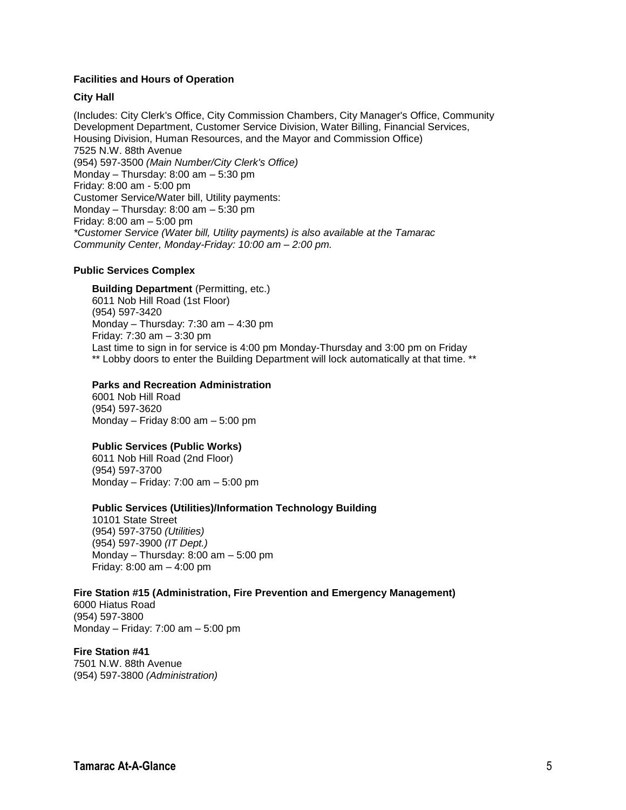#### **Facilities and Hours of Operation**

#### **City Hall**

(Includes: City Clerk's Office, City Commission Chambers, City Manager's Office, Community Development Department, Customer Service Division, Water Billing, Financial Services, Housing Division, Human Resources, and the Mayor and Commission Office) 7525 N.W. 88th Avenue (954) 597-3500 *(Main Number/City Clerk's Office)* Monday – Thursday: 8:00 am – 5:30 pm Friday: 8:00 am - 5:00 pm Customer Service/Water bill, Utility payments: Monday – Thursday: 8:00 am – 5:30 pm Friday: 8:00 am – 5:00 pm *\*Customer Service (Water bill, Utility payments) is also available at the Tamarac Community Center, Monday-Friday: 10:00 am – 2:00 pm.*

#### **Public Services Complex**

**Building Department** (Permitting, etc.) 6011 Nob Hill Road (1st Floor) (954) 597-3420 Monday – Thursday: 7:30 am – 4:30 pm Friday: 7:30 am – 3:30 pm Last time to sign in for service is 4:00 pm Monday-Thursday and 3:00 pm on Friday \*\* Lobby doors to enter the Building Department will lock automatically at that time. \*\*

#### **Parks and Recreation Administration**

6001 Nob Hill Road (954) 597-3620 Monday – Friday 8:00 am – 5:00 pm

#### **Public Services (Public Works)**

6011 Nob Hill Road (2nd Floor) (954) 597-3700 Monday – Friday: 7:00 am – 5:00 pm

#### **Public Services (Utilities)/Information Technology Building**

10101 State Street (954) 597-3750 *(Utilities)* (954) 597-3900 *(IT Dept.)* Monday – Thursday: 8:00 am – 5:00 pm Friday: 8:00 am – 4:00 pm

#### **Fire Station #15 (Administration, Fire Prevention and Emergency Management)**

6000 Hiatus Road (954) 597-3800 Monday – Friday: 7:00 am – 5:00 pm

#### **Fire Station #41**

7501 N.W. 88th Avenue (954) 597-3800 *(Administration)*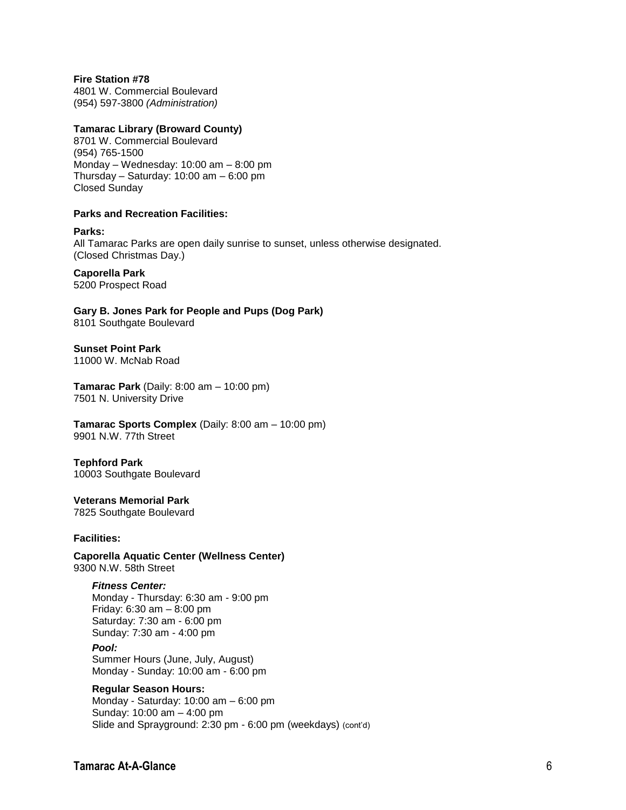#### **Fire Station #78**

4801 W. Commercial Boulevard (954) 597-3800 *(Administration)*

#### **Tamarac Library (Broward County)**

8701 W. Commercial Boulevard (954) 765-1500 Monday – Wednesday: 10:00 am – 8:00 pm Thursday – Saturday: 10:00 am – 6:00 pm Closed Sunday

#### **Parks and Recreation Facilities:**

**Parks:** All Tamarac Parks are open daily sunrise to sunset, unless otherwise designated. (Closed Christmas Day.)

#### **Caporella Park**

5200 Prospect Road

**Gary B. Jones Park for People and Pups (Dog Park)** 8101 Southgate Boulevard

**Sunset Point Park**

11000 W. McNab Road

**Tamarac Park** (Daily: 8:00 am – 10:00 pm) 7501 N. University Drive

#### **Tamarac Sports Complex** (Daily: 8:00 am – 10:00 pm) 9901 N.W. 77th Street

#### **Tephford Park**

10003 Southgate Boulevard

#### **Veterans Memorial Park** 7825 Southgate Boulevard

#### **Facilities:**

**Caporella Aquatic Center (Wellness Center)** 9300 N.W. 58th Street

#### *Fitness Center:*

Monday - Thursday: 6:30 am - 9:00 pm Friday: 6:30 am – 8:00 pm Saturday: 7:30 am - 6:00 pm Sunday: 7:30 am - 4:00 pm *Pool:* Summer Hours (June, July, August) Monday - Sunday: 10:00 am - 6:00 pm

#### **Regular Season Hours:**

Monday - Saturday: 10:00 am – 6:00 pm Sunday: 10:00 am – 4:00 pm Slide and Sprayground: 2:30 pm - 6:00 pm (weekdays) (cont'd)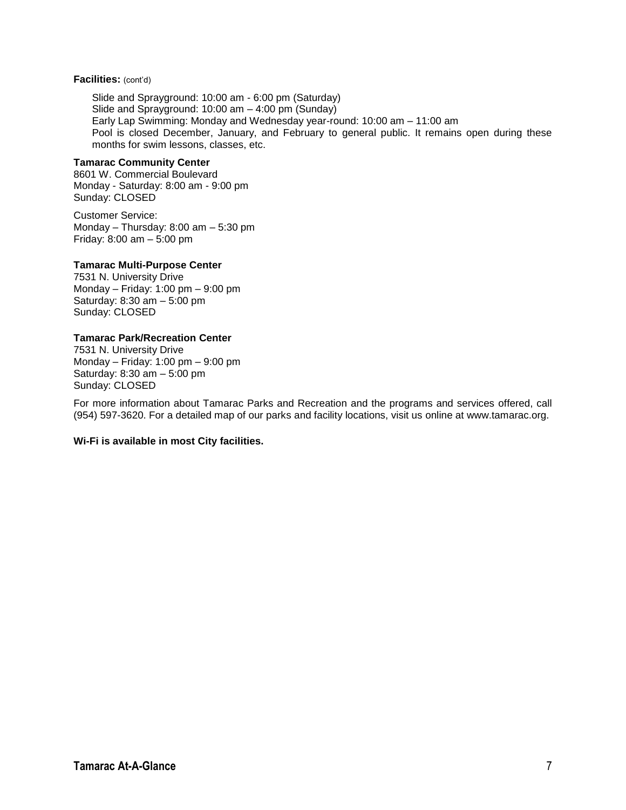#### **Facilities:** (cont'd)

Slide and Sprayground: 10:00 am - 6:00 pm (Saturday) Slide and Sprayground: 10:00 am – 4:00 pm (Sunday) Early Lap Swimming: Monday and Wednesday year-round: 10:00 am – 11:00 am Pool is closed December, January, and February to general public. It remains open during these months for swim lessons, classes, etc.

#### **Tamarac Community Center**

8601 W. Commercial Boulevard Monday - Saturday: 8:00 am - 9:00 pm Sunday: CLOSED

Customer Service: Monday – Thursday: 8:00 am – 5:30 pm Friday: 8:00 am – 5:00 pm

#### **Tamarac Multi-Purpose Center**

7531 N. University Drive Monday – Friday: 1:00 pm – 9:00 pm Saturday: 8:30 am – 5:00 pm Sunday: CLOSED

#### **Tamarac Park/Recreation Center**

7531 N. University Drive Monday – Friday: 1:00 pm – 9:00 pm Saturday: 8:30 am – 5:00 pm Sunday: CLOSED

For more information about Tamarac Parks and Recreation and the programs and services offered, call (954) 597-3620. For a detailed map of our parks and facility locations, visit us online at www.tamarac.org.

#### **Wi-Fi is available in most City facilities.**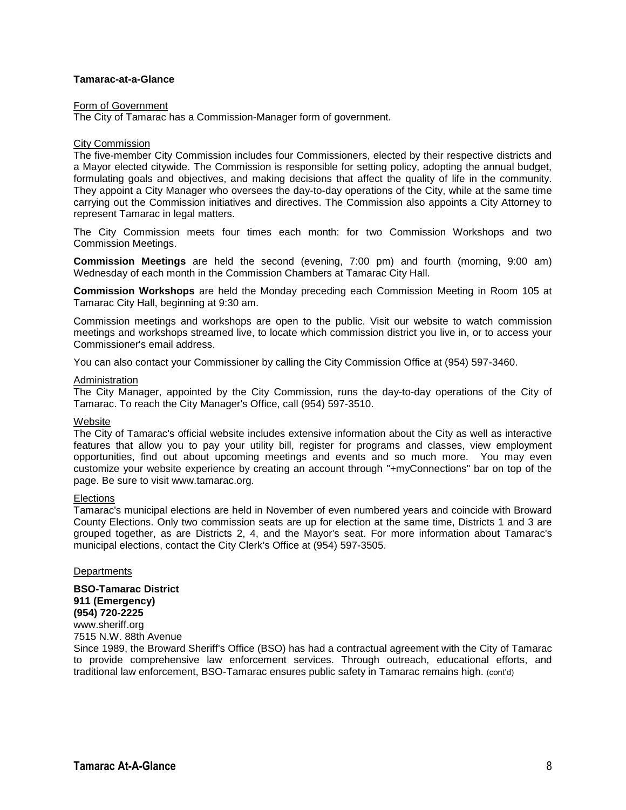#### **Tamarac-at-a-Glance**

#### Form of Government

The City of Tamarac has a Commission-Manager form of government.

#### City Commission

The five-member City Commission includes four Commissioners, elected by their respective districts and a Mayor elected citywide. The Commission is responsible for setting policy, adopting the annual budget, formulating goals and objectives, and making decisions that affect the quality of life in the community. They appoint a City Manager who oversees the day-to-day operations of the City, while at the same time carrying out the Commission initiatives and directives. The Commission also appoints a City Attorney to represent Tamarac in legal matters.

The City Commission meets four times each month: for two Commission Workshops and two Commission Meetings.

**Commission Meetings** are held the second (evening, 7:00 pm) and fourth (morning, 9:00 am) Wednesday of each month in the Commission Chambers at Tamarac City Hall.

**Commission Workshops** are held the Monday preceding each Commission Meeting in Room 105 at Tamarac City Hall, beginning at 9:30 am.

Commission meetings and workshops are open to the public. Visit our website to watch commission meetings and workshops streamed live, to locate which commission district you live in, or to access your Commissioner's email address.

You can also contact your Commissioner by calling the City Commission Office at (954) 597-3460.

#### Administration

The City Manager, appointed by the City Commission, runs the day-to-day operations of the City of Tamarac. To reach the City Manager's Office, call (954) 597-3510.

#### Website

The City of Tamarac's official website includes extensive information about the City as well as interactive features that allow you to pay your utility bill, register for programs and classes, view employment opportunities, find out about upcoming meetings and events and so much more. You may even customize your website experience by creating an account through "+myConnections" bar on top of the page. Be sure to visit www.tamarac.org.

#### **Elections**

Tamarac's municipal elections are held in November of even numbered years and coincide with Broward County Elections. Only two commission seats are up for election at the same time, Districts 1 and 3 are grouped together, as are Districts 2, 4, and the Mayor's seat. For more information about Tamarac's municipal elections, contact the City Clerk's Office at (954) 597-3505.

#### **Departments**

**BSO-Tamarac District 911 (Emergency) (954) 720-2225** www.sheriff.org 7515 N.W. 88th Avenue

Since 1989, the Broward Sheriff's Office (BSO) has had a contractual agreement with the City of Tamarac to provide comprehensive law enforcement services. Through outreach, educational efforts, and traditional law enforcement, BSO-Tamarac ensures public safety in Tamarac remains high. (cont'd)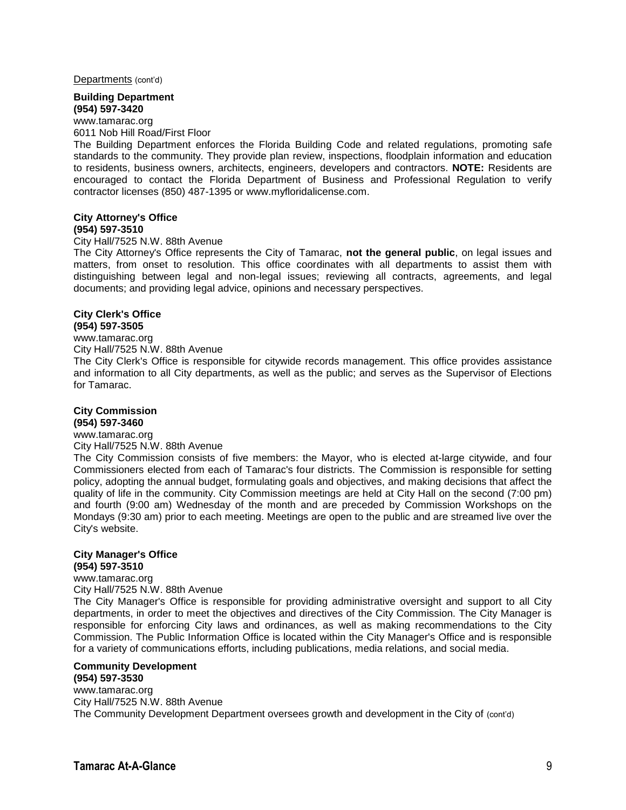Departments (cont'd)

#### **Building Department (954) 597-3420**

www.tamarac.org

6011 Nob Hill Road/First Floor

The Building Department enforces the Florida Building Code and related regulations, promoting safe standards to the community. They provide plan review, inspections, floodplain information and education to residents, business owners, architects, engineers, developers and contractors. **NOTE:** Residents are encouraged to contact the Florida Department of Business and Professional Regulation to verify contractor licenses (850) 487-1395 or www.myfloridalicense.com.

#### **City Attorney's Office (954) 597-3510**

City Hall/7525 N.W. 88th Avenue

The City Attorney's Office represents the City of Tamarac, **not the general public**, on legal issues and matters, from onset to resolution. This office coordinates with all departments to assist them with distinguishing between legal and non-legal issues; reviewing all contracts, agreements, and legal documents; and providing legal advice, opinions and necessary perspectives.

#### **City Clerk's Office (954) 597-3505**

#### www.tamarac.org City Hall/7525 N.W. 88th Avenue

The City Clerk's Office is responsible for citywide records management. This office provides assistance and information to all City departments, as well as the public; and serves as the Supervisor of Elections for Tamarac.

#### **City Commission (954) 597-3460**

www.tamarac.org

#### City Hall/7525 N.W. 88th Avenue

The City Commission consists of five members: the Mayor, who is elected at-large citywide, and four Commissioners elected from each of Tamarac's four districts. The Commission is responsible for setting policy, adopting the annual budget, formulating goals and objectives, and making decisions that affect the quality of life in the community. City Commission meetings are held at City Hall on the second (7:00 pm) and fourth (9:00 am) Wednesday of the month and are preceded by Commission Workshops on the Mondays (9:30 am) prior to each meeting. Meetings are open to the public and are streamed live over the City's website.

### **City Manager's Office**

**(954) 597-3510** www.tamarac.org City Hall/7525 N.W. 88th Avenue

The City Manager's Office is responsible for providing administrative oversight and support to all City departments, in order to meet the objectives and directives of the City Commission. The City Manager is responsible for enforcing City laws and ordinances, as well as making recommendations to the City Commission. The Public Information Office is located within the City Manager's Office and is responsible for a variety of communications efforts, including publications, media relations, and social media.

#### **Community Development (954) 597-3530**

www.tamarac.org City Hall/7525 N.W. 88th Avenue The Community Development Department oversees growth and development in the City of (cont'd)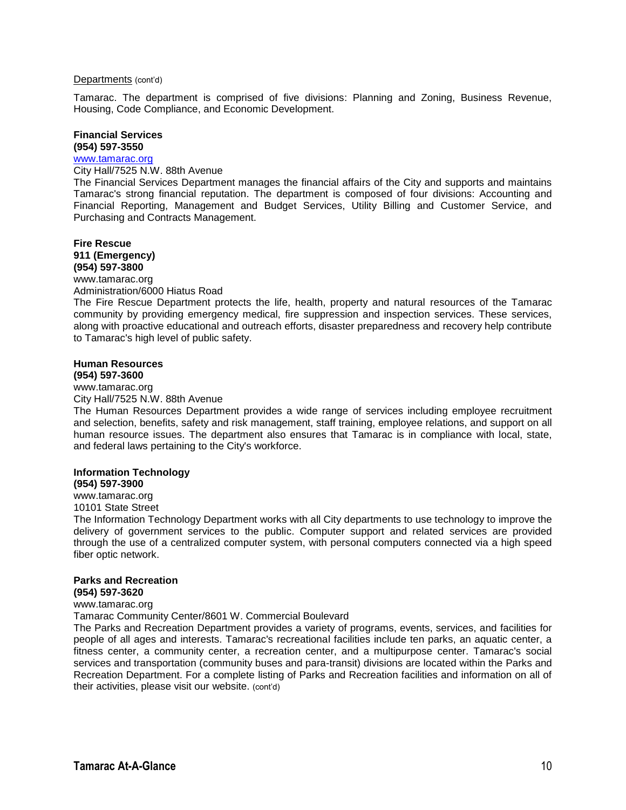#### Departments (cont'd)

Tamarac. The department is comprised of five divisions: Planning and Zoning, Business Revenue, Housing, Code Compliance, and Economic Development.

#### **Financial Services (954) 597-3550**

#### [www.tamarac.org](http://www.tamarac.org/)

City Hall/7525 N.W. 88th Avenue

The Financial Services Department manages the financial affairs of the City and supports and maintains Tamarac's strong financial reputation. The department is composed of four divisions: Accounting and Financial Reporting, Management and Budget Services, Utility Billing and Customer Service, and Purchasing and Contracts Management.

#### **Fire Rescue 911 (Emergency) (954) 597-3800** www.tamarac.org

Administration/6000 Hiatus Road

The Fire Rescue Department protects the life, health, property and natural resources of the Tamarac community by providing emergency medical, fire suppression and inspection services. These services, along with proactive educational and outreach efforts, disaster preparedness and recovery help contribute to Tamarac's high level of public safety.

#### **Human Resources (954) 597-3600**

www.tamarac.org City Hall/7525 N.W. 88th Avenue

The Human Resources Department provides a wide range of services including employee recruitment and selection, benefits, safety and risk management, staff training, employee relations, and support on all human resource issues. The department also ensures that Tamarac is in compliance with local, state, and federal laws pertaining to the City's workforce.

#### **Information Technology**

**(954) 597-3900** www.tamarac.org

10101 State Street

The Information Technology Department works with all City departments to use technology to improve the delivery of government services to the public. Computer support and related services are provided through the use of a centralized computer system, with personal computers connected via a high speed fiber optic network.

#### **Parks and Recreation (954) 597-3620**

#### www.tamarac.org

Tamarac Community Center/8601 W. Commercial Boulevard

The Parks and Recreation Department provides a variety of programs, events, services, and facilities for people of all ages and interests. Tamarac's recreational facilities include ten parks, an aquatic center, a fitness center, a community center, a recreation center, and a multipurpose center. Tamarac's social services and transportation (community buses and para-transit) divisions are located within the Parks and Recreation Department. For a complete listing of Parks and Recreation facilities and information on all of their activities, please visit our website. (cont'd)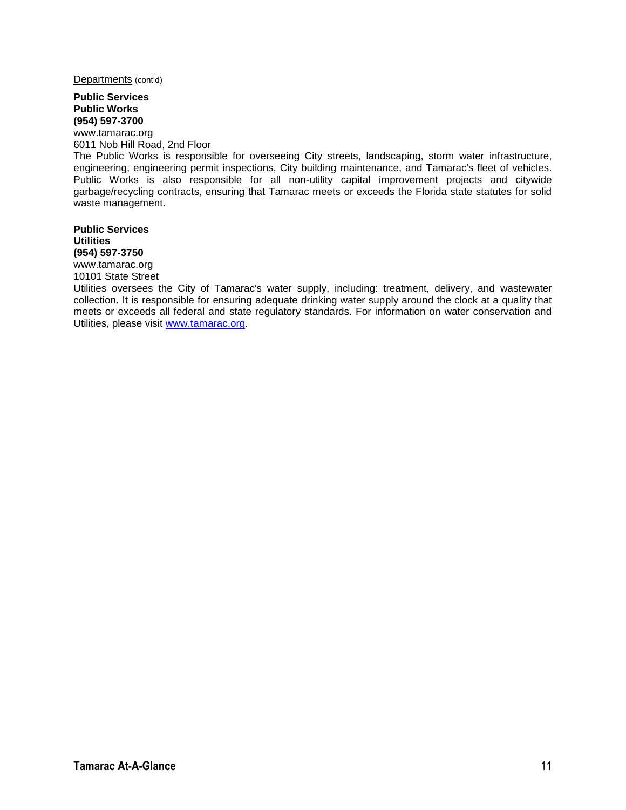Departments (cont'd)

#### **Public Services Public Works (954) 597-3700**

www.tamarac.org 6011 Nob Hill Road, 2nd Floor The Public Works is responsible for overseeing City streets, landscaping, storm water infrastructure, engineering, engineering permit inspections, City building maintenance, and Tamarac's fleet of vehicles. Public Works is also responsible for all non-utility capital improvement projects and citywide garbage/recycling contracts, ensuring that Tamarac meets or exceeds the Florida state statutes for solid waste management.

**Public Services Utilities (954) 597-3750**

www.tamarac.org 10101 State Street

Utilities oversees the City of Tamarac's water supply, including: treatment, delivery, and wastewater collection. It is responsible for ensuring adequate drinking water supply around the clock at a quality that meets or exceeds all federal and state regulatory standards. For information on water conservation and Utilities, please visit [www.tamarac.org.](http://www.tamarac.org/)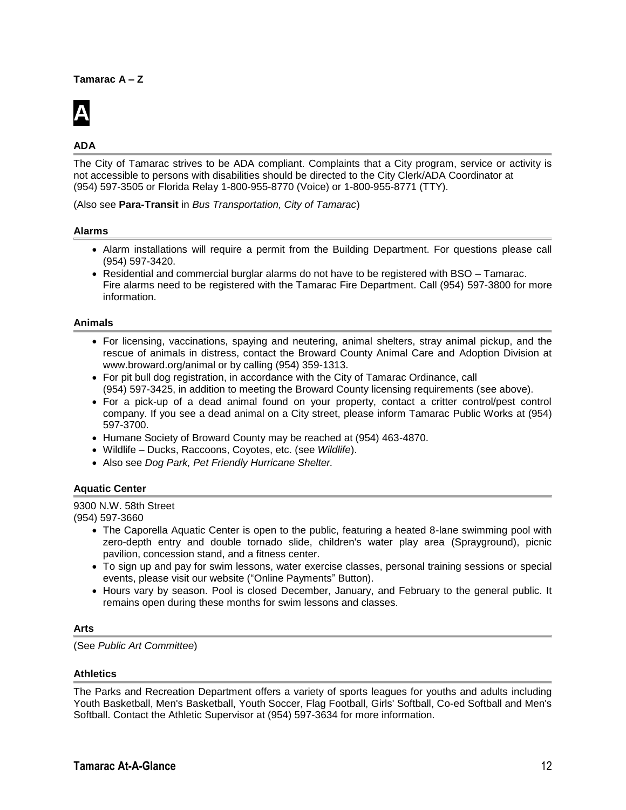#### **Tamarac A – Z**



#### **ADA**

The City of Tamarac strives to be ADA compliant. Complaints that a City program, service or activity is not accessible to persons with disabilities should be directed to the City Clerk/ADA Coordinator at (954) 597-3505 or Florida Relay 1-800-955-8770 (Voice) or 1-800-955-8771 (TTY).

(Also see **Para-Transit** in *Bus Transportation, City of Tamarac*)

#### **Alarms**

- Alarm installations will require a permit from the Building Department. For questions please call (954) 597-3420.
- Residential and commercial burglar alarms do not have to be registered with BSO Tamarac. Fire alarms need to be registered with the Tamarac Fire Department. Call (954) 597-3800 for more information.

#### **Animals**

- For licensing, vaccinations, spaying and neutering, animal shelters, stray animal pickup, and the rescue of animals in distress, contact the Broward County Animal Care and Adoption Division at www.broward.org/animal or by calling (954) 359-1313.
- For pit bull dog registration, in accordance with the City of Tamarac Ordinance, call (954) 597-3425, in addition to meeting the Broward County licensing requirements (see above).
- For a pick-up of a dead animal found on your property, contact a critter control/pest control company. If you see a dead animal on a City street, please inform Tamarac Public Works at (954) 597-3700.
- Humane Society of Broward County may be reached at (954) 463-4870.
- Wildlife Ducks, Raccoons, Coyotes, etc. (see *Wildlife*).
- Also see *Dog Park, Pet Friendly Hurricane Shelter.*

#### **Aquatic Center**

9300 N.W. 58th Street (954) 597-3660

- The Caporella Aquatic Center is open to the public, featuring a heated 8-lane swimming pool with zero-depth entry and double tornado slide, children's water play area (Sprayground), picnic pavilion, concession stand, and a fitness center.
- To sign up and pay for swim lessons, water exercise classes, personal training sessions or special events, please visit our website ("Online Payments" Button).
- Hours vary by season. Pool is closed December, January, and February to the general public. It remains open during these months for swim lessons and classes.

#### **Arts**

(See *Public Art Committee*)

#### **Athletics**

The Parks and Recreation Department offers a variety of sports leagues for youths and adults including Youth Basketball, Men's Basketball, Youth Soccer, Flag Football, Girls' Softball, Co-ed Softball and Men's Softball. Contact the Athletic Supervisor at (954) 597-3634 for more information.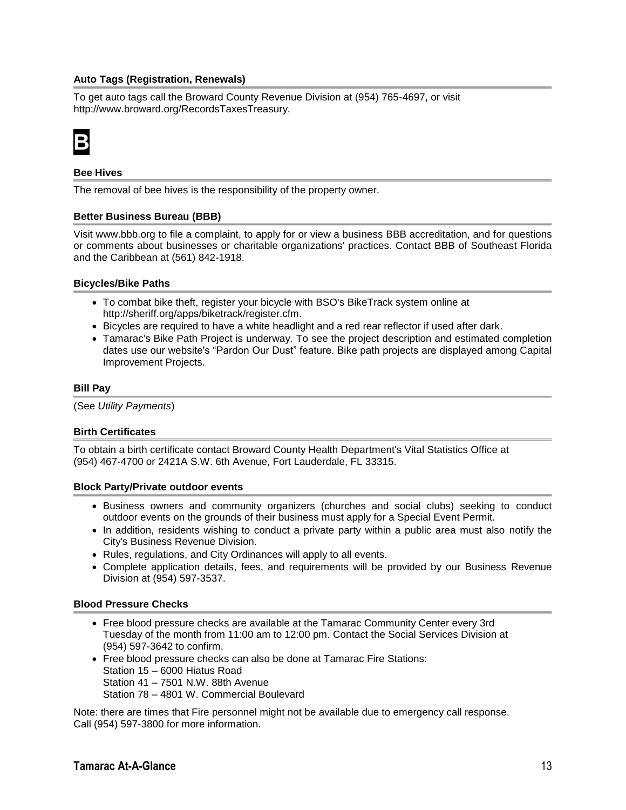#### **Auto Tags (Registration, Renewals)**

To get auto tags call the Broward County Revenue Division at (954) 765-4697, or visit http://www.broward.org/RecordsTaxesTreasury.



#### **Bee Hives**

The removal of bee hives is the responsibility of the property owner.

#### **Better Business Bureau (BBB)**

Visit www.bbb.org to file a complaint, to apply for or view a business BBB accreditation, and for questions or comments about businesses or charitable organizations' practices. Contact BBB of Southeast Florida and the Caribbean at (561) 842-1918.

#### **Bicycles/Bike Paths**

- To combat bike theft, register your bicycle with BSO's BikeTrack system online at http://sheriff.org/apps/biketrack/register.cfm.
- Bicycles are required to have a white headlight and a red rear reflector if used after dark.
- Tamarac's Bike Path Project is underway. To see the project description and estimated completion dates use our website's "Pardon Our Dust" feature. Bike path projects are displayed among Capital Improvement Projects.

#### **Bill Pay**

(See *Utility Payments*)

#### **Birth Certificates**

To obtain a birth certificate contact Broward County Health Department's Vital Statistics Office at (954) 467-4700 or 2421A S.W. 6th Avenue, Fort Lauderdale, FL 33315.

#### **Block Party/Private outdoor events**

- Business owners and community organizers (churches and social clubs) seeking to conduct outdoor events on the grounds of their business must apply for a Special Event Permit.
- In addition, residents wishing to conduct a private party within a public area must also notify the City's Business Revenue Division.
- Rules, regulations, and City Ordinances will apply to all events.
- Complete application details, fees, and requirements will be provided by our Business Revenue Division at (954) 597-3537.

#### **Blood Pressure Checks**

- Free blood pressure checks are available at the Tamarac Community Center every 3rd Tuesday of the month from 11:00 am to 12:00 pm. Contact the Social Services Division at (954) 597-3642 to confirm.
- Free blood pressure checks can also be done at Tamarac Fire Stations: Station 15 – 6000 Hiatus Road Station 41 – 7501 N.W. 88th Avenue Station 78 – 4801 W. Commercial Boulevard

Note: there are times that Fire personnel might not be available due to emergency call response. Call (954) 597-3800 for more information.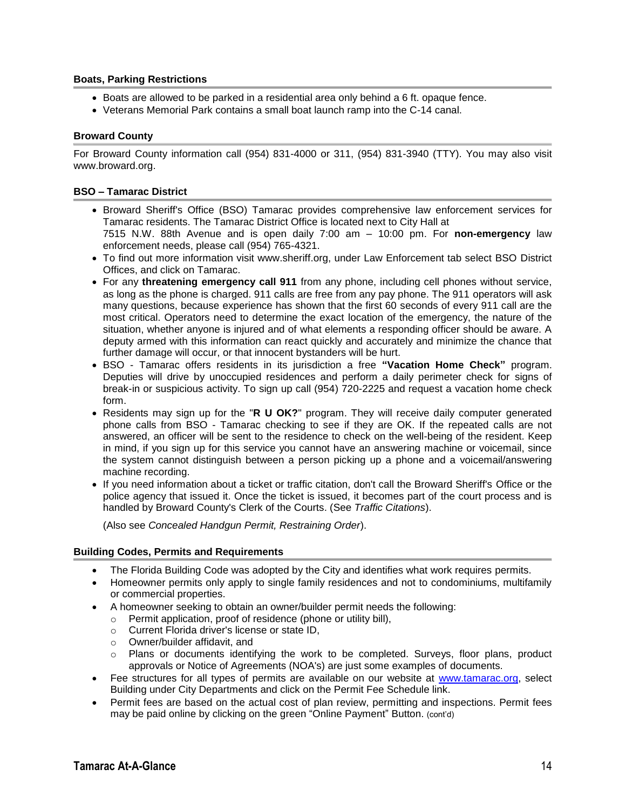#### **Boats, Parking Restrictions**

- Boats are allowed to be parked in a residential area only behind a 6 ft. opaque fence.
- Veterans Memorial Park contains a small boat launch ramp into the C-14 canal.

#### **Broward County**

For Broward County information call (954) 831-4000 or 311, (954) 831-3940 (TTY). You may also visit www.broward.org.

#### **BSO – Tamarac District**

- Broward Sheriff's Office (BSO) Tamarac provides comprehensive law enforcement services for Tamarac residents. The Tamarac District Office is located next to City Hall at 7515 N.W. 88th Avenue and is open daily 7:00 am – 10:00 pm. For **non-emergency** law enforcement needs, please call (954) 765-4321.
- To find out more information visit www.sheriff.org, under Law Enforcement tab select BSO District Offices, and click on Tamarac.
- For any **threatening emergency call 911** from any phone, including cell phones without service, as long as the phone is charged. 911 calls are free from any pay phone. The 911 operators will ask many questions, because experience has shown that the first 60 seconds of every 911 call are the most critical. Operators need to determine the exact location of the emergency, the nature of the situation, whether anyone is injured and of what elements a responding officer should be aware. A deputy armed with this information can react quickly and accurately and minimize the chance that further damage will occur, or that innocent bystanders will be hurt.
- BSO Tamarac offers residents in its jurisdiction a free **"Vacation Home Check"** program. Deputies will drive by unoccupied residences and perform a daily perimeter check for signs of break-in or suspicious activity. To sign up call (954) 720-2225 and request a vacation home check form.
- Residents may sign up for the "**R U OK?**" program. They will receive daily computer generated phone calls from BSO - Tamarac checking to see if they are OK. If the repeated calls are not answered, an officer will be sent to the residence to check on the well-being of the resident. Keep in mind, if you sign up for this service you cannot have an answering machine or voicemail, since the system cannot distinguish between a person picking up a phone and a voicemail/answering machine recording.
- If you need information about a ticket or traffic citation, don't call the Broward Sheriff's Office or the police agency that issued it. Once the ticket is issued, it becomes part of the court process and is handled by Broward County's Clerk of the Courts. (See *Traffic Citations*).

(Also see *Concealed Handgun Permit, Restraining Order*).

#### **Building Codes, Permits and Requirements**

- The Florida Building Code was adopted by the City and identifies what work requires permits.
- Homeowner permits only apply to single family residences and not to condominiums, multifamily or commercial properties.
- A homeowner seeking to obtain an owner/builder permit needs the following:
	- o Permit application, proof of residence (phone or utility bill),
		- o Current Florida driver's license or state ID,
		- o Owner/builder affidavit, and
		- o Plans or documents identifying the work to be completed. Surveys, floor plans, product approvals or Notice of Agreements (NOA's) are just some examples of documents.
- Fee structures for all types of permits are available on our website at [www.tamarac.org,](http://www.tamarac.org/) select Building under City Departments and click on the Permit Fee Schedule link.
- Permit fees are based on the actual cost of plan review, permitting and inspections. Permit fees may be paid online by clicking on the green "Online Payment" Button. (cont'd)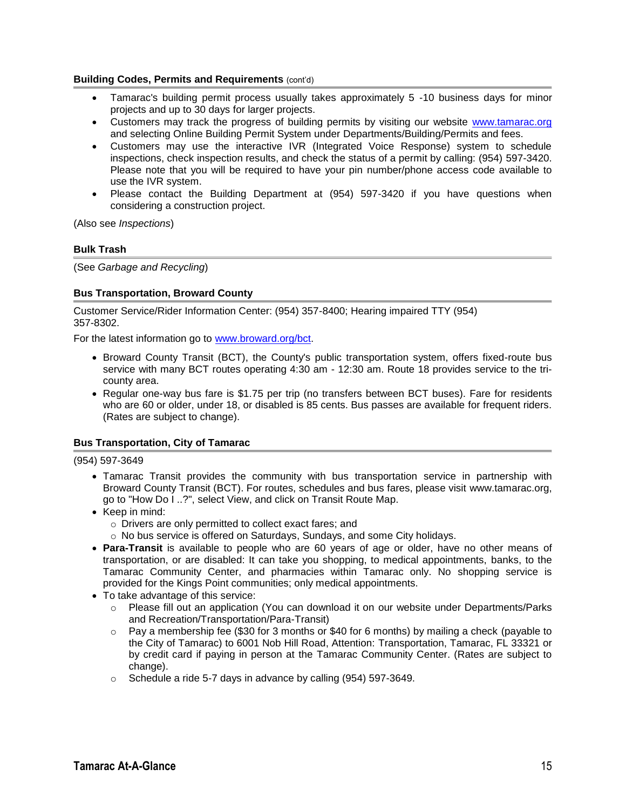#### **Building Codes, Permits and Requirements (cont'd)**

- Tamarac's building permit process usually takes approximately 5 -10 business days for minor projects and up to 30 days for larger projects.
- Customers may track the progress of building permits by visiting our website [www.tamarac.org](http://www.tamarac.org/) and selecting Online Building Permit System under Departments/Building/Permits and fees.
- Customers may use the interactive IVR (Integrated Voice Response) system to schedule inspections, check inspection results, and check the status of a permit by calling: (954) 597-3420. Please note that you will be required to have your pin number/phone access code available to use the IVR system.
- Please contact the Building Department at (954) 597-3420 if you have questions when considering a construction project.

(Also see *Inspections*)

#### **Bulk Trash**

(See *Garbage and Recycling*)

#### **Bus Transportation, Broward County**

Customer Service/Rider Information Center: (954) 357-8400; Hearing impaired TTY (954) 357-8302.

For the latest information go to [www.broward.org/bct.](http://www.broward.org/bct)

- Broward County Transit (BCT), the County's public transportation system, offers fixed-route bus service with many BCT routes operating 4:30 am - 12:30 am. Route 18 provides service to the tricounty area.
- Regular one-way bus fare is \$1.75 per trip (no transfers between BCT buses). Fare for residents who are 60 or older, under 18, or disabled is 85 cents. Bus passes are available for frequent riders. (Rates are subject to change).

#### **Bus Transportation, City of Tamarac**

(954) 597-3649

- Tamarac Transit provides the community with bus transportation service in partnership with Broward County Transit (BCT). For routes, schedules and bus fares, please visit www.tamarac.org, go to "How Do I ..?", select View, and click on Transit Route Map.
- Keep in mind:
	- o Drivers are only permitted to collect exact fares; and
	- o No bus service is offered on Saturdays, Sundays, and some City holidays.
- **Para-Transit** is available to people who are 60 years of age or older, have no other means of transportation, or are disabled: It can take you shopping, to medical appointments, banks, to the Tamarac Community Center, and pharmacies within Tamarac only. No shopping service is provided for the Kings Point communities; only medical appointments.
- To take advantage of this service:
	- o Please fill out an application (You can download it on our website under Departments/Parks and Recreation/Transportation/Para-Transit)
	- $\circ$  Pay a membership fee (\$30 for 3 months or \$40 for 6 months) by mailing a check (payable to the City of Tamarac) to 6001 Nob Hill Road, Attention: Transportation, Tamarac, FL 33321 or by credit card if paying in person at the Tamarac Community Center. (Rates are subject to change).
	- o Schedule a ride 5-7 days in advance by calling (954) 597-3649.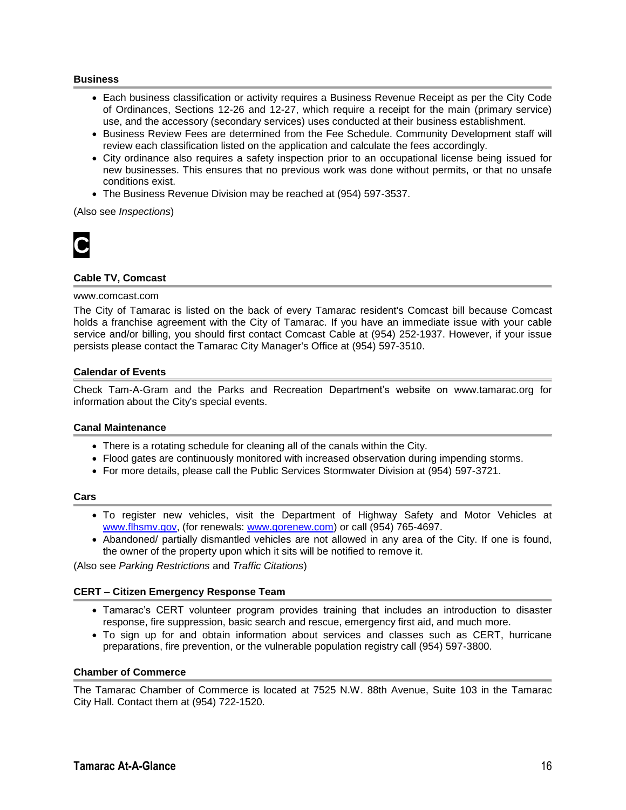#### **Business**

- Each business classification or activity requires a Business Revenue Receipt as per the City Code of Ordinances, Sections 12-26 and 12-27, which require a receipt for the main (primary service) use, and the accessory (secondary services) uses conducted at their business establishment.
- **Business Review Fees are determined from the Fee Schedule. Community Development staff will** review each classification listed on the application and calculate the fees accordingly.
- City ordinance also requires a safety inspection prior to an occupational license being issued for new businesses. This ensures that no previous work was done without permits, or that no unsafe conditions exist.
- The Business Revenue Division may be reached at (954) 597-3537.

(Also see *Inspections*)



#### **Cable TV, Comcast**

#### www.comcast.com

The City of Tamarac is listed on the back of every Tamarac resident's Comcast bill because Comcast holds a franchise agreement with the City of Tamarac. If you have an immediate issue with your cable service and/or billing, you should first contact Comcast Cable at (954) 252-1937. However, if your issue persists please contact the Tamarac City Manager's Office at (954) 597-3510.

#### **Calendar of Events**

Check Tam-A-Gram and the Parks and Recreation Department's website on www.tamarac.org for information about the City's special events.

#### **Canal Maintenance**

- There is a rotating schedule for cleaning all of the canals within the City.
- Flood gates are continuously monitored with increased observation during impending storms.
- For more details, please call the Public Services Stormwater Division at (954) 597-3721.

#### **Cars**

- To register new vehicles, visit the Department of Highway Safety and Motor Vehicles at [www.flhsmv.gov,](http://www.flhsmv.gov/) (for renewals: [www.gorenew.com\)](http://www.gorenew.com/) or call (954) 765-4697.
- Abandoned/ partially dismantled vehicles are not allowed in any area of the City. If one is found, the owner of the property upon which it sits will be notified to remove it.

(Also see *Parking Restrictions* and *Traffic Citations*)

#### **CERT – Citizen Emergency Response Team**

- Tamarac's CERT volunteer program provides training that includes an introduction to disaster response, fire suppression, basic search and rescue, emergency first aid, and much more.
- To sign up for and obtain information about services and classes such as CERT, hurricane preparations, fire prevention, or the vulnerable population registry call (954) 597-3800.

#### **Chamber of Commerce**

The Tamarac Chamber of Commerce is located at 7525 N.W. 88th Avenue, Suite 103 in the Tamarac City Hall. Contact them at (954) 722-1520.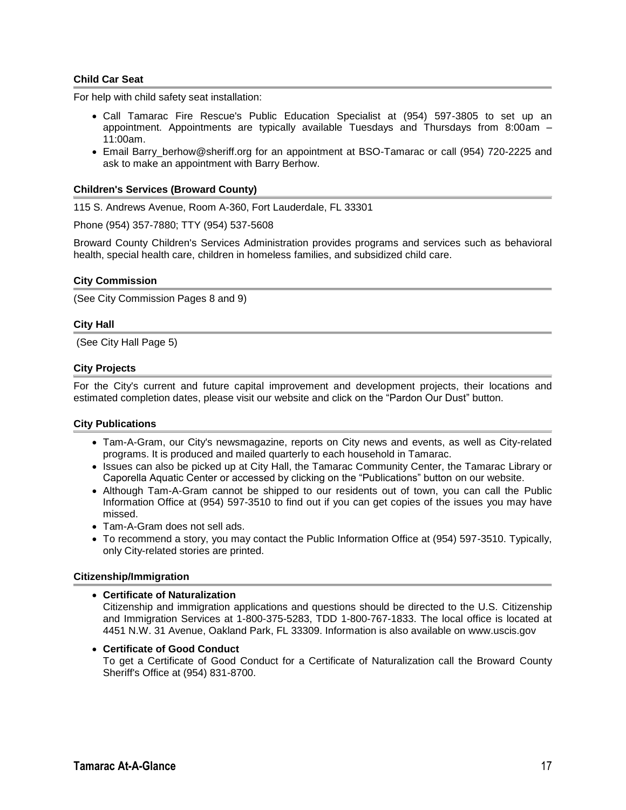#### **Child Car Seat**

For help with child safety seat installation:

- Call Tamarac Fire Rescue's Public Education Specialist at (954) 597-3805 to set up an appointment. Appointments are typically available Tuesdays and Thursdays from 8:00am – 11:00am.
- Email Barry\_berhow@sheriff.org for an appointment at BSO-Tamarac or call (954) 720-2225 and ask to make an appointment with Barry Berhow.

#### **Children's Services (Broward County)**

115 S. Andrews Avenue, Room A-360, Fort Lauderdale, FL 33301

Phone (954) 357-7880; TTY (954) 537-5608

Broward County Children's Services Administration provides programs and services such as behavioral health, special health care, children in homeless families, and subsidized child care.

#### **City Commission**

(See City Commission Pages 8 and 9)

#### **City Hall**

(See City Hall Page 5)

#### **City Projects**

For the City's current and future capital improvement and development projects, their locations and estimated completion dates, please visit our website and click on the "Pardon Our Dust" button.

#### **City Publications**

- Tam-A-Gram, our City's newsmagazine, reports on City news and events, as well as City-related programs. It is produced and mailed quarterly to each household in Tamarac.
- Issues can also be picked up at City Hall, the Tamarac Community Center, the Tamarac Library or Caporella Aquatic Center or accessed by clicking on the "Publications" button on our website.
- Although Tam-A-Gram cannot be shipped to our residents out of town, you can call the Public Information Office at (954) 597-3510 to find out if you can get copies of the issues you may have missed.
- Tam-A-Gram does not sell ads.
- To recommend a story, you may contact the Public Information Office at (954) 597-3510. Typically, only City-related stories are printed.

#### **Citizenship/Immigration**

#### **Certificate of Naturalization**

Citizenship and immigration applications and questions should be directed to the U.S. Citizenship and Immigration Services at 1-800-375-5283, TDD 1-800-767-1833. The local office is located at 4451 N.W. 31 Avenue, Oakland Park, FL 33309. Information is also available on www.uscis.gov

 **Certificate of Good Conduct** To get a Certificate of Good Conduct for a Certificate of Naturalization call the Broward County Sheriff's Office at (954) 831-8700.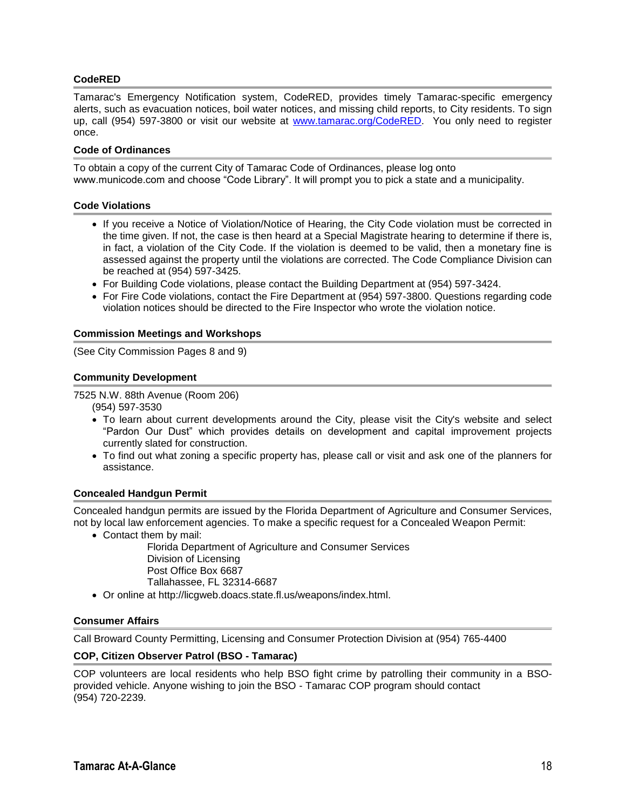#### **CodeRED**

Tamarac's Emergency Notification system, CodeRED, provides timely Tamarac-specific emergency alerts, such as evacuation notices, boil water notices, and missing child reports, to City residents. To sign up, call (954) 597-3800 or visit our website at [www.tamarac.org/CodeRED.](http://www.tamarac.org/CodeRED) You only need to register once.

#### **Code of Ordinances**

To obtain a copy of the current City of Tamarac Code of Ordinances, please log onto www.municode.com and choose "Code Library". It will prompt you to pick a state and a municipality.

#### **Code Violations**

- If you receive a Notice of Violation/Notice of Hearing, the City Code violation must be corrected in the time given. If not, the case is then heard at a Special Magistrate hearing to determine if there is, in fact, a violation of the City Code. If the violation is deemed to be valid, then a monetary fine is assessed against the property until the violations are corrected. The Code Compliance Division can be reached at (954) 597-3425.
- For Building Code violations, please contact the Building Department at (954) 597-3424.
- For Fire Code violations, contact the Fire Department at (954) 597-3800. Questions regarding code violation notices should be directed to the Fire Inspector who wrote the violation notice.

#### **Commission Meetings and Workshops**

(See City Commission Pages 8 and 9)

#### **Community Development**

7525 N.W. 88th Avenue (Room 206)

(954) 597-3530

- To learn about current developments around the City, please visit the City's website and select "Pardon Our Dust" which provides details on development and capital improvement projects currently slated for construction.
- To find out what zoning a specific property has, please call or visit and ask one of the planners for assistance.

#### **Concealed Handgun Permit**

Concealed handgun permits are issued by the Florida Department of Agriculture and Consumer Services, not by local law enforcement agencies. To make a specific request for a Concealed Weapon Permit:

Contact them by mail:

Florida Department of Agriculture and Consumer Services Division of Licensing Post Office Box 6687 Tallahassee, FL 32314-6687

Or online at http://licgweb.doacs.state.fl.us/weapons/index.html.

#### **Consumer Affairs**

Call Broward County Permitting, Licensing and Consumer Protection Division at (954) 765-4400

#### **COP, Citizen Observer Patrol (BSO - Tamarac)**

COP volunteers are local residents who help BSO fight crime by patrolling their community in a BSOprovided vehicle. Anyone wishing to join the BSO - Tamarac COP program should contact (954) 720-2239.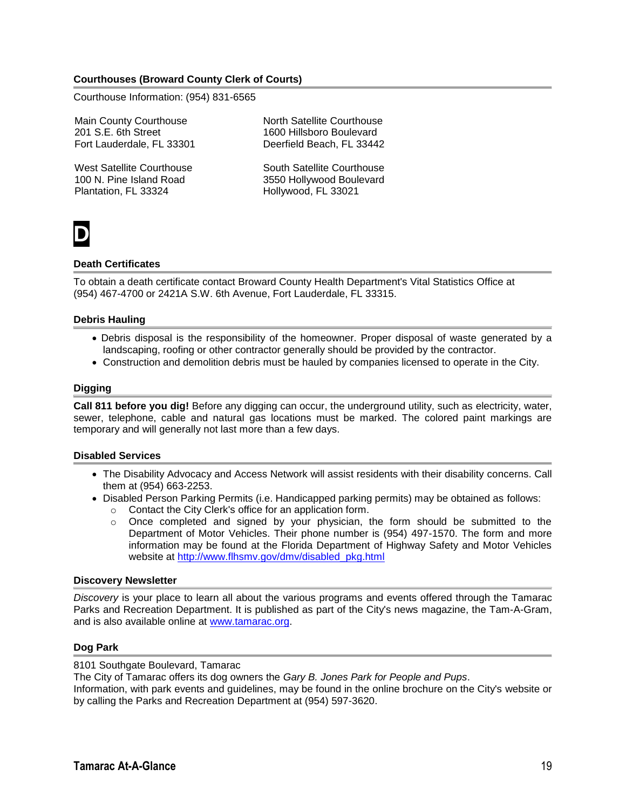#### **Courthouses (Broward County Clerk of Courts)**

Courthouse Information: (954) 831-6565

Main County Courthouse 201 S.E. 6th Street Fort Lauderdale, FL 33301

West Satellite Courthouse 100 N. Pine Island Road Plantation, FL 33324

North Satellite Courthouse 1600 Hillsboro Boulevard Deerfield Beach, FL 33442

South Satellite Courthouse 3550 Hollywood Boulevard Hollywood, FL 33021



#### **Death Certificates**

To obtain a death certificate contact Broward County Health Department's Vital Statistics Office at (954) 467-4700 or 2421A S.W. 6th Avenue, Fort Lauderdale, FL 33315.

#### **Debris Hauling**

- Debris disposal is the responsibility of the homeowner. Proper disposal of waste generated by a landscaping, roofing or other contractor generally should be provided by the contractor.
- Construction and demolition debris must be hauled by companies licensed to operate in the City.

#### **Digging**

**Call 811 before you dig!** Before any digging can occur, the underground utility, such as electricity, water, sewer, telephone, cable and natural gas locations must be marked. The colored paint markings are temporary and will generally not last more than a few days.

#### **Disabled Services**

- The Disability Advocacy and Access Network will assist residents with their disability concerns. Call them at (954) 663-2253.
- Disabled Person Parking Permits (i.e. Handicapped parking permits) may be obtained as follows:
	- o Contact the City Clerk's office for an application form.
	- $\circ$  Once completed and signed by your physician, the form should be submitted to the Department of Motor Vehicles. Their phone number is (954) 497-1570. The form and more information may be found at the Florida Department of Highway Safety and Motor Vehicles website at [http://www.flhsmv.gov/dmv/disabled\\_pkg.html](http://www.flhsmv.gov/dmv/disabled_pkg.html)

#### **Discovery Newsletter**

*Discovery* is your place to learn all about the various programs and events offered through the Tamarac Parks and Recreation Department. It is published as part of the City's news magazine, the Tam-A-Gram, and is also available online at [www.tamarac.org.](http://www.tamarac.org/)

#### **Dog Park**

#### 8101 Southgate Boulevard, Tamarac

The City of Tamarac offers its dog owners the *Gary B. Jones Park for People and Pups*.

Information, with park events and guidelines, may be found in the online brochure on the City's website or by calling the Parks and Recreation Department at (954) 597-3620.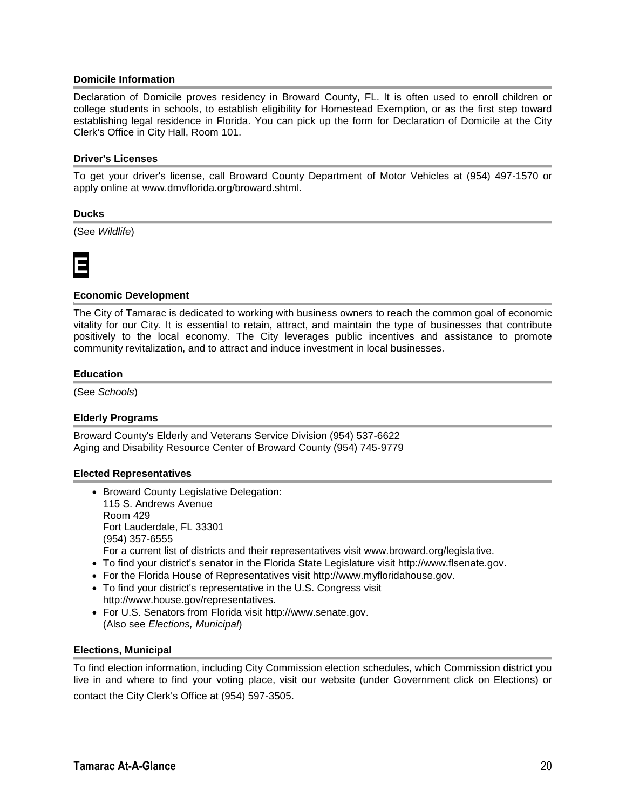#### **Domicile Information**

Declaration of Domicile proves residency in Broward County, FL. It is often used to enroll children or college students in schools, to establish eligibility for Homestead Exemption, or as the first step toward establishing legal residence in Florida. You can pick up the form for Declaration of Domicile at the City Clerk's Office in City Hall, Room 101.

#### **Driver's Licenses**

To get your driver's license, call Broward County Department of Motor Vehicles at (954) 497-1570 or apply online at www.dmvflorida.org/broward.shtml.

#### **Ducks**

(See *Wildlife*)



#### **Economic Development**

The City of Tamarac is dedicated to working with business owners to reach the common goal of economic vitality for our City. It is essential to retain, attract, and maintain the type of businesses that contribute positively to the local economy. The City leverages public incentives and assistance to promote community revitalization, and to attract and induce investment in local businesses.

#### **Education**

(See *Schools*)

#### **Elderly Programs**

Broward County's Elderly and Veterans Service Division (954) 537-6622 Aging and Disability Resource Center of Broward County (954) 745-9779

#### **Elected Representatives**

- Broward County Legislative Delegation: 115 S. Andrews Avenue Room 429 Fort Lauderdale, FL 33301 (954) 357-6555 For a current list of districts and their representatives visit www.broward.org/legislative.
- To find your district's senator in the Florida State Legislature visit http://www.flsenate.gov.
- For the Florida House of Representatives visit http://www.myfloridahouse.gov.
- To find your district's representative in the U.S. Congress visit http://www.house.gov/representatives.
- For U.S. Senators from Florida visit http://www.senate.gov. (Also see *Elections, Municipal*)

#### **Elections, Municipal**

To find election information, including City Commission election schedules, which Commission district you live in and where to find your voting place, visit our website (under Government click on Elections) or contact the City Clerk's Office at (954) 597-3505.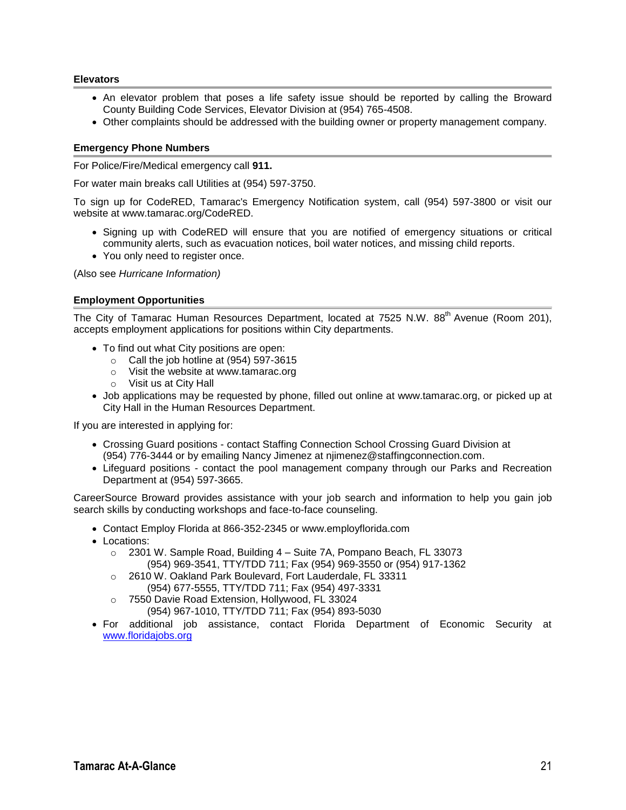#### **Elevators**

- An elevator problem that poses a life safety issue should be reported by calling the Broward County Building Code Services, Elevator Division at (954) 765-4508.
- Other complaints should be addressed with the building owner or property management company.

#### **Emergency Phone Numbers**

For Police/Fire/Medical emergency call **911.**

For water main breaks call Utilities at (954) 597-3750.

To sign up for CodeRED, Tamarac's Emergency Notification system, call (954) 597-3800 or visit our website at www.tamarac.org/CodeRED.

- Signing up with CodeRED will ensure that you are notified of emergency situations or critical community alerts, such as evacuation notices, boil water notices, and missing child reports.
- You only need to register once.

(Also see *Hurricane Information)*

#### **Employment Opportunities**

The City of Tamarac Human Resources Department, located at 7525 N.W. 88<sup>th</sup> Avenue (Room 201). accepts employment applications for positions within City departments.

- To find out what City positions are open:
	- o Call the job hotline at (954) 597-3615
	- o Visit the website at www.tamarac.org
	- o Visit us at City Hall
- Job applications may be requested by phone, filled out online at www.tamarac.org, or picked up at City Hall in the Human Resources Department.

If you are interested in applying for:

- Crossing Guard positions contact Staffing Connection School Crossing Guard Division at (954) 776-3444 or by emailing Nancy Jimenez at njimenez@staffingconnection.com.
- Lifeguard positions contact the pool management company through our Parks and Recreation Department at (954) 597-3665.

CareerSource Broward provides assistance with your job search and information to help you gain job search skills by conducting workshops and face-to-face counseling.

- Contact Employ Florida at 866-352-2345 or www.employflorida.com
- Locations:
	- o 2301 W. Sample Road, Building 4 Suite 7A, Pompano Beach, FL 33073 (954) 969-3541, TTY/TDD 711; Fax (954) 969-3550 or (954) 917-1362
	- o 2610 W. Oakland Park Boulevard, Fort Lauderdale, FL 33311 (954) 677-5555, TTY/TDD 711; Fax (954) 497-3331
	- o 7550 Davie Road Extension, Hollywood, FL 33024 (954) 967-1010, TTY/TDD 711; Fax (954) 893-5030
- For additional job assistance, contact Florida Department of Economic Security at <www.floridajobs.org>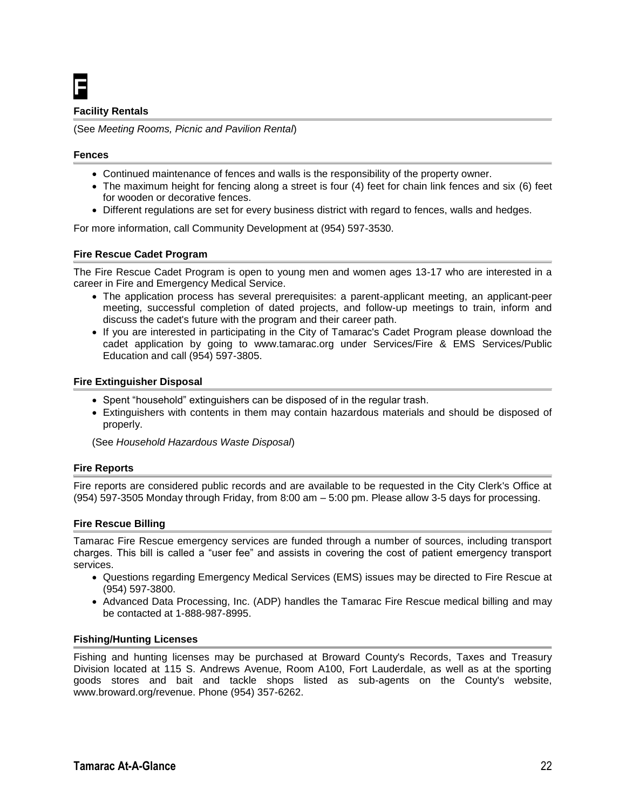### **F**

#### **Facility Rentals**

(See *Meeting Rooms, Picnic and Pavilion Rental*)

#### **Fences**

- Continued maintenance of fences and walls is the responsibility of the property owner.
- The maximum height for fencing along a street is four (4) feet for chain link fences and six (6) feet for wooden or decorative fences.
- Different regulations are set for every business district with regard to fences, walls and hedges.

For more information, call Community Development at (954) 597-3530.

#### **Fire Rescue Cadet Program**

The Fire Rescue Cadet Program is open to young men and women ages 13-17 who are interested in a career in Fire and Emergency Medical Service.

- The application process has several prerequisites: a parent-applicant meeting, an applicant-peer meeting, successful completion of dated projects, and follow-up meetings to train, inform and discuss the cadet's future with the program and their career path.
- If you are interested in participating in the City of Tamarac's Cadet Program please download the cadet application by going to www.tamarac.org under Services/Fire & EMS Services/Public Education and call (954) 597-3805.

#### **Fire Extinguisher Disposal**

- Spent "household" extinguishers can be disposed of in the regular trash.
- Extinguishers with contents in them may contain hazardous materials and should be disposed of properly.

(See *Household Hazardous Waste Disposal*)

#### **Fire Reports**

Fire reports are considered public records and are available to be requested in the City Clerk's Office at (954) 597-3505 Monday through Friday, from 8:00 am – 5:00 pm. Please allow 3-5 days for processing.

#### **Fire Rescue Billing**

Tamarac Fire Rescue emergency services are funded through a number of sources, including transport charges. This bill is called a "user fee" and assists in covering the cost of patient emergency transport services.

- Questions regarding Emergency Medical Services (EMS) issues may be directed to Fire Rescue at (954) 597-3800.
- Advanced Data Processing, Inc. (ADP) handles the Tamarac Fire Rescue medical billing and may be contacted at 1-888-987-8995.

#### **Fishing/Hunting Licenses**

Fishing and hunting licenses may be purchased at Broward County's Records, Taxes and Treasury Division located at 115 S. Andrews Avenue, Room A100, Fort Lauderdale, as well as at the sporting goods stores and bait and tackle shops listed as sub-agents on the County's website, www.broward.org/revenue. Phone (954) 357-6262.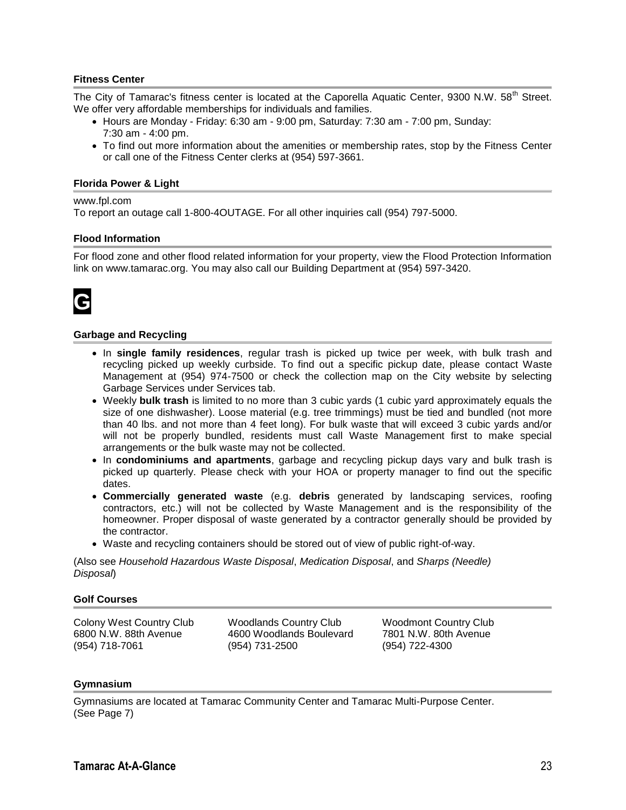#### **Fitness Center**

The City of Tamarac's fitness center is located at the Caporella Aquatic Center, 9300 N.W. 58<sup>th</sup> Street. We offer very affordable memberships for individuals and families.

- Hours are Monday Friday: 6:30 am 9:00 pm, Saturday: 7:30 am 7:00 pm, Sunday: 7:30 am - 4:00 pm.
- To find out more information about the amenities or membership rates, stop by the Fitness Center or call one of the Fitness Center clerks at (954) 597-3661.

#### **Florida Power & Light**

#### www.fpl.com

To report an outage call 1-800-4OUTAGE. For all other inquiries call (954) 797-5000.

#### **Flood Information**

For flood zone and other flood related information for your property, view the Flood Protection Information link on www.tamarac.org. You may also call our Building Department at (954) 597-3420.



#### **Garbage and Recycling**

- In **single family residences**, regular trash is picked up twice per week, with bulk trash and recycling picked up weekly curbside. To find out a specific pickup date, please contact Waste Management at (954) 974-7500 or check the collection map on the City website by selecting Garbage Services under Services tab.
- Weekly **bulk trash** is limited to no more than 3 cubic yards (1 cubic yard approximately equals the size of one dishwasher). Loose material (e.g. tree trimmings) must be tied and bundled (not more than 40 lbs. and not more than 4 feet long). For bulk waste that will exceed 3 cubic yards and/or will not be properly bundled, residents must call Waste Management first to make special arrangements or the bulk waste may not be collected.
- In **condominiums and apartments**, garbage and recycling pickup days vary and bulk trash is picked up quarterly. Please check with your HOA or property manager to find out the specific dates.
- **Commercially generated waste** (e.g. **debris** generated by landscaping services, roofing contractors, etc.) will not be collected by Waste Management and is the responsibility of the homeowner. Proper disposal of waste generated by a contractor generally should be provided by the contractor.
- Waste and recycling containers should be stored out of view of public right-of-way.

(Also see *Household Hazardous Waste Disposal*, *Medication Disposal*, and *Sharps (Needle) Disposal*)

#### **Golf Courses**

Colony West Country Club 6800 N.W. 88th Avenue (954) 718-7061

Woodlands Country Club 4600 Woodlands Boulevard (954) 731-2500

Woodmont Country Club 7801 N.W. 80th Avenue (954) 722-4300

#### **Gymnasium**

Gymnasiums are located at Tamarac Community Center and Tamarac Multi-Purpose Center. (See Page 7)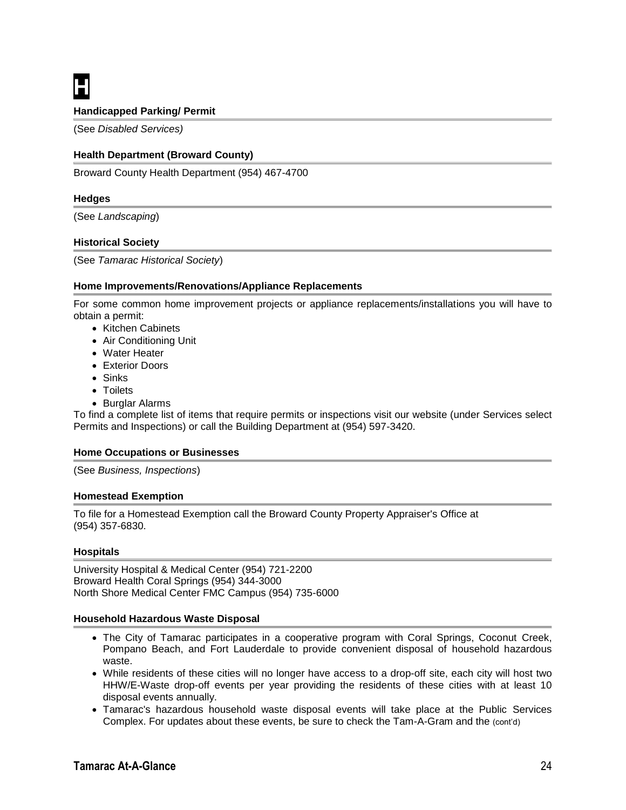**H**

#### **Handicapped Parking/ Permit**

(See *Disabled Services)*

#### **Health Department (Broward County)**

Broward County Health Department (954) 467-4700

#### **Hedges**

(See *Landscaping*)

#### **Historical Society**

(See *Tamarac Historical Society*)

#### **Home Improvements/Renovations/Appliance Replacements**

For some common home improvement projects or appliance replacements/installations you will have to obtain a permit:

- Kitchen Cabinets
- Air Conditioning Unit
- Water Heater
- **Exterior Doors**
- Sinks
- Toilets
- Burglar Alarms

To find a complete list of items that require permits or inspections visit our website (under Services select Permits and Inspections) or call the Building Department at (954) 597-3420.

#### **Home Occupations or Businesses**

(See *Business, Inspections*)

#### **Homestead Exemption**

To file for a Homestead Exemption call the Broward County Property Appraiser's Office at (954) 357-6830.

#### **Hospitals**

University Hospital & Medical Center (954) 721-2200 Broward Health Coral Springs (954) 344-3000 North Shore Medical Center FMC Campus (954) 735-6000

#### **Household Hazardous Waste Disposal**

- The City of Tamarac participates in a cooperative program with Coral Springs, Coconut Creek, Pompano Beach, and Fort Lauderdale to provide convenient disposal of household hazardous waste.
- While residents of these cities will no longer have access to a drop-off site, each city will host two HHW/E-Waste drop-off events per year providing the residents of these cities with at least 10 disposal events annually.
- Tamarac's hazardous household waste disposal events will take place at the Public Services Complex. For updates about these events, be sure to check the Tam-A-Gram and the (cont'd)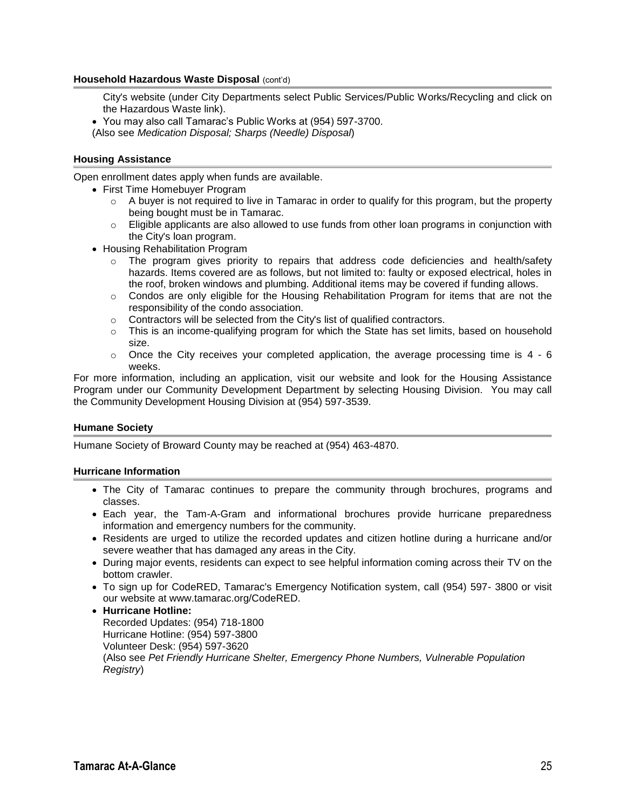#### **Household Hazardous Waste Disposal** (cont'd)

City's website (under City Departments select Public Services/Public Works/Recycling and click on the Hazardous Waste link).

- You may also call Tamarac's Public Works at (954) 597-3700.
- (Also see *Medication Disposal; Sharps (Needle) Disposal*)

#### **Housing Assistance**

Open enrollment dates apply when funds are available.

- First Time Homebuyer Program
	- $\circ$  A buyer is not required to live in Tamarac in order to qualify for this program, but the property being bought must be in Tamarac.
	- $\circ$  Eligible applicants are also allowed to use funds from other loan programs in conjunction with the City's loan program.
- Housing Rehabilitation Program
	- $\circ$  The program gives priority to repairs that address code deficiencies and health/safety hazards. Items covered are as follows, but not limited to: faulty or exposed electrical, holes in the roof, broken windows and plumbing. Additional items may be covered if funding allows.
	- o Condos are only eligible for the Housing Rehabilitation Program for items that are not the responsibility of the condo association.
	- o Contractors will be selected from the City's list of qualified contractors.
	- $\circ$  This is an income-qualifying program for which the State has set limits, based on household size.
	- $\circ$  Once the City receives your completed application, the average processing time is 4 6 weeks.

For more information, including an application, visit our website and look for the Housing Assistance Program under our Community Development Department by selecting Housing Division. You may call the Community Development Housing Division at (954) 597-3539.

#### **Humane Society**

Humane Society of Broward County may be reached at (954) 463-4870.

#### **Hurricane Information**

- The City of Tamarac continues to prepare the community through brochures, programs and classes.
- Each year, the Tam-A-Gram and informational brochures provide hurricane preparedness information and emergency numbers for the community.
- Residents are urged to utilize the recorded updates and citizen hotline during a hurricane and/or severe weather that has damaged any areas in the City.
- During major events, residents can expect to see helpful information coming across their TV on the bottom crawler.
- To sign up for CodeRED, Tamarac's Emergency Notification system, call (954) 597- 3800 or visit our website at www.tamarac.org/CodeRED.
- **Hurricane Hotline:** Recorded Updates: (954) 718-1800 Hurricane Hotline: (954) 597-3800 Volunteer Desk: (954) 597-3620 (Also see *Pet Friendly Hurricane Shelter, Emergency Phone Numbers, Vulnerable Population Registry*)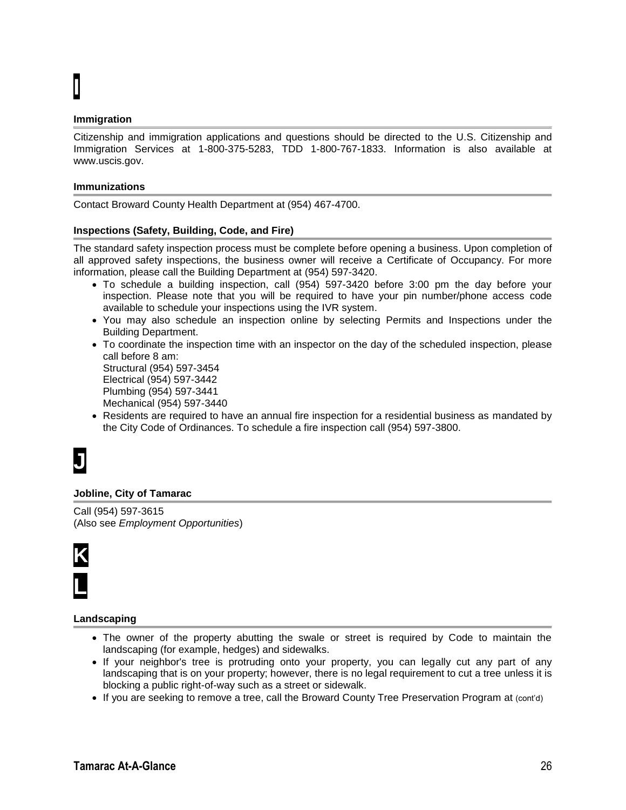# **I**

#### **Immigration**

Citizenship and immigration applications and questions should be directed to the U.S. Citizenship and Immigration Services at 1-800-375-5283, TDD 1-800-767-1833. Information is also available at www.uscis.gov.

#### **Immunizations**

Contact Broward County Health Department at (954) 467-4700.

#### **Inspections (Safety, Building, Code, and Fire)**

The standard safety inspection process must be complete before opening a business. Upon completion of all approved safety inspections, the business owner will receive a Certificate of Occupancy. For more information, please call the Building Department at (954) 597-3420.

- To schedule a building inspection, call (954) 597-3420 before 3:00 pm the day before your inspection. Please note that you will be required to have your pin number/phone access code available to schedule your inspections using the IVR system.
- You may also schedule an inspection online by selecting Permits and Inspections under the Building Department.
- To coordinate the inspection time with an inspector on the day of the scheduled inspection, please call before 8 am: Structural (954) 597-3454

Electrical (954) 597-3442 Plumbing (954) 597-3441 Mechanical (954) 597-3440

 Residents are required to have an annual fire inspection for a residential business as mandated by the City Code of Ordinances. To schedule a fire inspection call (954) 597-3800.

### **J**

#### **Jobline, City of Tamarac**

Call (954) 597-3615 (Also see *Employment Opportunities*)



#### **Landscaping**

- The owner of the property abutting the swale or street is required by Code to maintain the landscaping (for example, hedges) and sidewalks.
- If your neighbor's tree is protruding onto your property, you can legally cut any part of any landscaping that is on your property; however, there is no legal requirement to cut a tree unless it is blocking a public right-of-way such as a street or sidewalk.
- If you are seeking to remove a tree, call the Broward County Tree Preservation Program at (cont'd)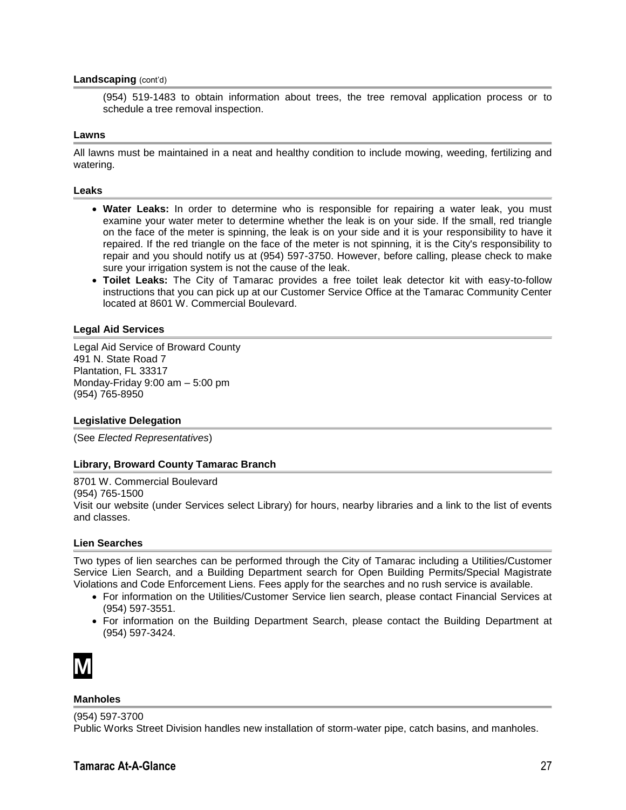#### **Landscaping** (cont'd)

(954) 519-1483 to obtain information about trees, the tree removal application process or to schedule a tree removal inspection.

#### **Lawns**

All lawns must be maintained in a neat and healthy condition to include mowing, weeding, fertilizing and watering.

#### **Leaks**

- **Water Leaks:** In order to determine who is responsible for repairing a water leak, you must examine your water meter to determine whether the leak is on your side. If the small, red triangle on the face of the meter is spinning, the leak is on your side and it is your responsibility to have it repaired. If the red triangle on the face of the meter is not spinning, it is the City's responsibility to repair and you should notify us at (954) 597-3750. However, before calling, please check to make sure your irrigation system is not the cause of the leak.
- **Toilet Leaks:** The City of Tamarac provides a free toilet leak detector kit with easy-to-follow instructions that you can pick up at our Customer Service Office at the Tamarac Community Center located at 8601 W. Commercial Boulevard.

#### **Legal Aid Services**

Legal Aid Service of Broward County 491 N. State Road 7 Plantation, FL 33317 Monday-Friday 9:00 am – 5:00 pm (954) 765-8950

#### **Legislative Delegation**

(See *Elected Representatives*)

#### **Library, Broward County Tamarac Branch**

8701 W. Commercial Boulevard (954) 765-1500 Visit our website (under Services select Library) for hours, nearby libraries and a link to the list of events and classes.

#### **Lien Searches**

Two types of lien searches can be performed through the City of Tamarac including a Utilities/Customer Service Lien Search, and a Building Department search for Open Building Permits/Special Magistrate Violations and Code Enforcement Liens. Fees apply for the searches and no rush service is available.

- For information on the Utilities/Customer Service lien search, please contact Financial Services at (954) 597-3551.
- For information on the Building Department Search, please contact the Building Department at (954) 597-3424.



#### **Manholes**

(954) 597-3700

Public Works Street Division handles new installation of storm-water pipe, catch basins, and manholes.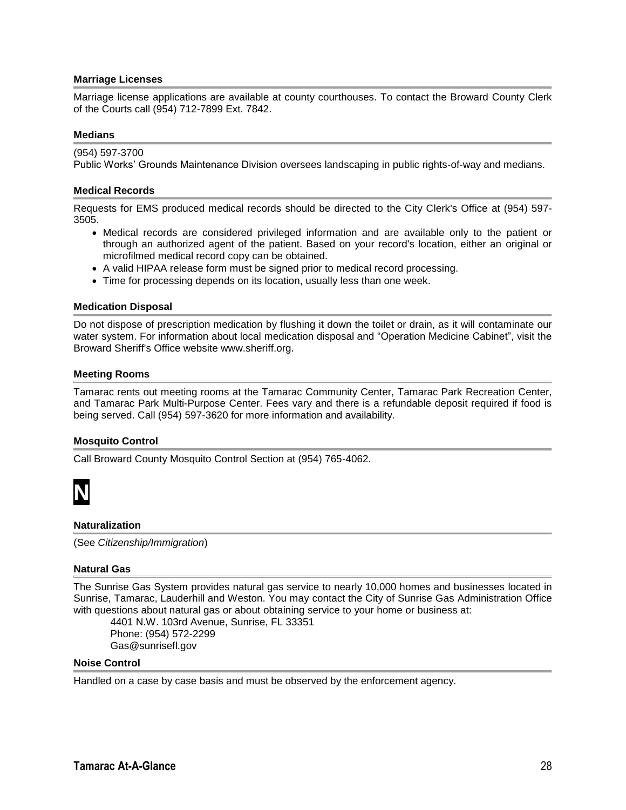#### **Marriage Licenses**

Marriage license applications are available at county courthouses. To contact the Broward County Clerk of the Courts call (954) 712-7899 Ext. 7842.

#### **Medians**

(954) 597-3700 Public Works' Grounds Maintenance Division oversees landscaping in public rights-of-way and medians.

#### **Medical Records**

Requests for EMS produced medical records should be directed to the City Clerk's Office at (954) 597- 3505.

- Medical records are considered privileged information and are available only to the patient or through an authorized agent of the patient. Based on your record's location, either an original or microfilmed medical record copy can be obtained.
- A valid HIPAA release form must be signed prior to medical record processing.
- Time for processing depends on its location, usually less than one week.

#### **Medication Disposal**

Do not dispose of prescription medication by flushing it down the toilet or drain, as it will contaminate our water system. For information about local medication disposal and "Operation Medicine Cabinet", visit the Broward Sheriff's Office website www.sheriff.org.

#### **Meeting Rooms**

Tamarac rents out meeting rooms at the Tamarac Community Center, Tamarac Park Recreation Center, and Tamarac Park Multi-Purpose Center. Fees vary and there is a refundable deposit required if food is being served. Call (954) 597-3620 for more information and availability.

#### **Mosquito Control**

Call Broward County Mosquito Control Section at (954) 765-4062.



#### **Naturalization**

(See *Citizenship/Immigration*)

#### **Natural Gas**

The Sunrise Gas System provides natural gas service to nearly 10,000 homes and businesses located in Sunrise, Tamarac, Lauderhill and Weston. You may contact the City of Sunrise Gas Administration Office with questions about natural gas or about obtaining service to your home or business at:

4401 N.W. 103rd Avenue, Sunrise, FL 33351 Phone: (954) 572-2299 Gas@sunrisefl.gov

#### **Noise Control**

Handled on a case by case basis and must be observed by the enforcement agency.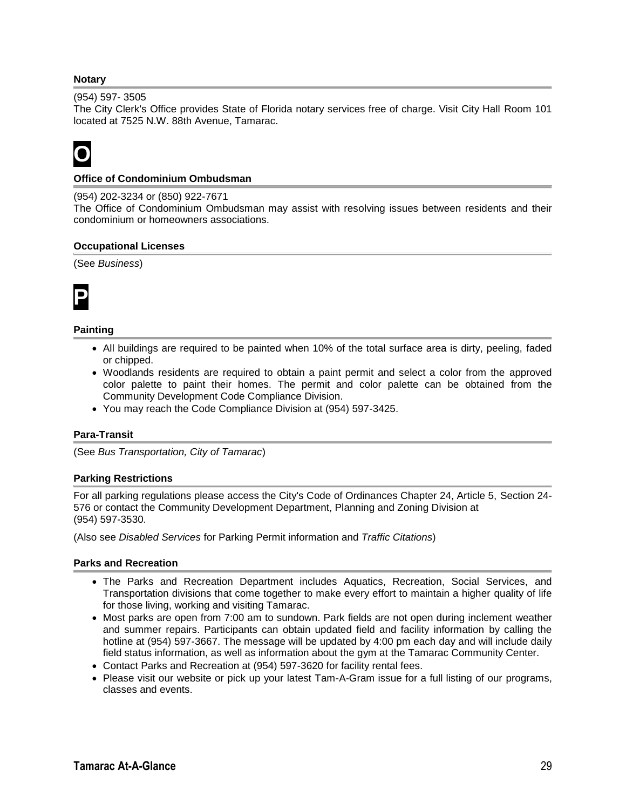#### **Notary**

#### (954) 597- 3505

The City Clerk's Office provides State of Florida notary services free of charge. Visit City Hall Room 101 located at 7525 N.W. 88th Avenue, Tamarac.

### **O**

#### **Office of Condominium Ombudsman**

#### (954) 202-3234 or (850) 922-7671

The Office of Condominium Ombudsman may assist with resolving issues between residents and their condominium or homeowners associations.

#### **Occupational Licenses**

#### (See *Business*)



#### **Painting**

- All buildings are required to be painted when 10% of the total surface area is dirty, peeling, faded or chipped.
- Woodlands residents are required to obtain a paint permit and select a color from the approved color palette to paint their homes. The permit and color palette can be obtained from the Community Development Code Compliance Division.
- You may reach the Code Compliance Division at (954) 597-3425.

#### **Para-Transit**

(See *Bus Transportation, City of Tamarac*)

#### **Parking Restrictions**

For all parking regulations please access the City's Code of Ordinances Chapter 24, Article 5, Section 24- 576 or contact the Community Development Department, Planning and Zoning Division at (954) 597-3530.

(Also see *Disabled Services* for Parking Permit information and *Traffic Citations*)

#### **Parks and Recreation**

- The Parks and Recreation Department includes Aquatics, Recreation, Social Services, and Transportation divisions that come together to make every effort to maintain a higher quality of life for those living, working and visiting Tamarac.
- Most parks are open from 7:00 am to sundown. Park fields are not open during inclement weather and summer repairs. Participants can obtain updated field and facility information by calling the hotline at (954) 597-3667. The message will be updated by 4:00 pm each day and will include daily field status information, as well as information about the gym at the Tamarac Community Center.
- Contact Parks and Recreation at (954) 597-3620 for facility rental fees.
- Please visit our website or pick up your latest Tam-A-Gram issue for a full listing of our programs, classes and events.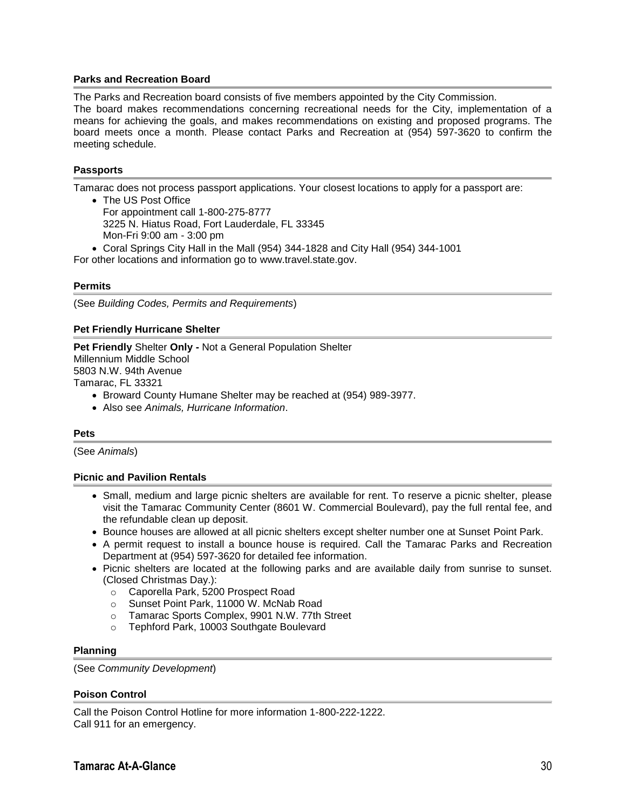#### **Parks and Recreation Board**

The Parks and Recreation board consists of five members appointed by the City Commission.

The board makes recommendations concerning recreational needs for the City, implementation of a means for achieving the goals, and makes recommendations on existing and proposed programs. The board meets once a month. Please contact Parks and Recreation at (954) 597-3620 to confirm the meeting schedule.

#### **Passports**

Tamarac does not process passport applications. Your closest locations to apply for a passport are:

- The US Post Office For appointment call 1-800-275-8777 3225 N. Hiatus Road, Fort Lauderdale, FL 33345 Mon-Fri 9:00 am - 3:00 pm
- Coral Springs City Hall in the Mall (954) 344-1828 and City Hall (954) 344-1001

For other locations and information go to www.travel.state.gov.

#### **Permits**

(See *Building Codes, Permits and Requirements*)

#### **Pet Friendly Hurricane Shelter**

**Pet Friendly** Shelter **Only -** Not a General Population Shelter Millennium Middle School 5803 N.W. 94th Avenue Tamarac, FL 33321

- Broward County Humane Shelter may be reached at (954) 989-3977.
- Also see *Animals, Hurricane Information*.

#### **Pets**

(See *Animals*)

#### **Picnic and Pavilion Rentals**

- Small, medium and large picnic shelters are available for rent. To reserve a picnic shelter, please visit the Tamarac Community Center (8601 W. Commercial Boulevard), pay the full rental fee, and the refundable clean up deposit.
- Bounce houses are allowed at all picnic shelters except shelter number one at Sunset Point Park.
- A permit request to install a bounce house is required. Call the Tamarac Parks and Recreation Department at (954) 597-3620 for detailed fee information.
- Picnic shelters are located at the following parks and are available daily from sunrise to sunset. (Closed Christmas Day.):
	- o Caporella Park, 5200 Prospect Road
	- o Sunset Point Park, 11000 W. McNab Road
	- o Tamarac Sports Complex, 9901 N.W. 77th Street
	- o Tephford Park, 10003 Southgate Boulevard

#### **Planning**

(See *Community Development*)

#### **Poison Control**

Call the Poison Control Hotline for more information 1-800-222-1222. Call 911 for an emergency.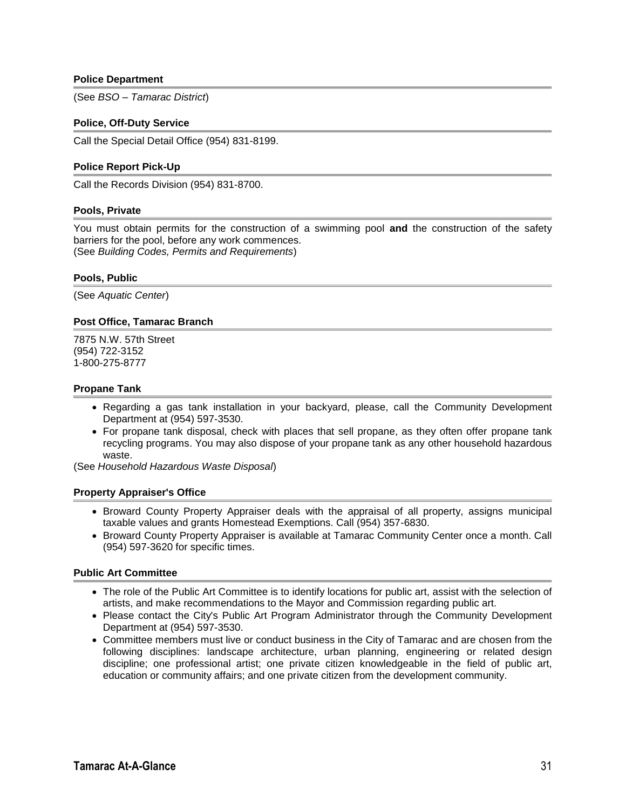#### **Police Department**

(See *BSO – Tamarac District*)

#### **Police, Off-Duty Service**

Call the Special Detail Office (954) 831-8199.

#### **Police Report Pick-Up**

Call the Records Division (954) 831-8700.

#### **Pools, Private**

You must obtain permits for the construction of a swimming pool **and** the construction of the safety barriers for the pool, before any work commences. (See *Building Codes, Permits and Requirements*)

#### **Pools, Public**

(See *Aquatic Center*)

#### **Post Office, Tamarac Branch**

7875 N.W. 57th Street (954) 722-3152 1-800-275-8777

#### **Propane Tank**

- Regarding a gas tank installation in your backyard, please, call the Community Development Department at (954) 597-3530.
- For propane tank disposal, check with places that sell propane, as they often offer propane tank recycling programs. You may also dispose of your propane tank as any other household hazardous waste.

(See *Household Hazardous Waste Disposal*)

#### **Property Appraiser's Office**

- Broward County Property Appraiser deals with the appraisal of all property, assigns municipal taxable values and grants Homestead Exemptions. Call (954) 357-6830.
- Broward County Property Appraiser is available at Tamarac Community Center once a month. Call (954) 597-3620 for specific times.

#### **Public Art Committee**

- The role of the Public Art Committee is to identify locations for public art, assist with the selection of artists, and make recommendations to the Mayor and Commission regarding public art.
- Please contact the City's Public Art Program Administrator through the Community Development Department at (954) 597-3530.
- Committee members must live or conduct business in the City of Tamarac and are chosen from the following disciplines: landscape architecture, urban planning, engineering or related design discipline; one professional artist; one private citizen knowledgeable in the field of public art, education or community affairs; and one private citizen from the development community.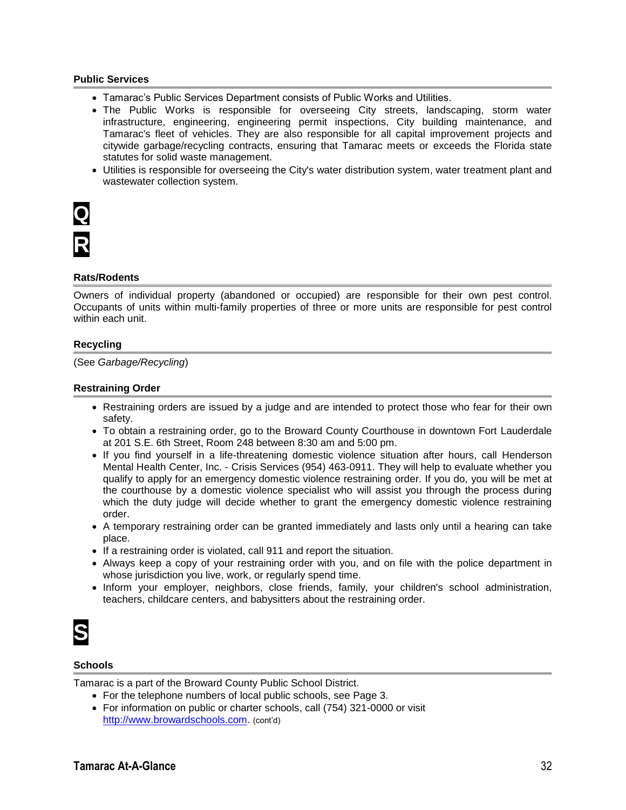#### **Public Services**

- Tamarac's Public Services Department consists of Public Works and Utilities.
- The Public Works is responsible for overseeing City streets, landscaping, storm water infrastructure, engineering, engineering permit inspections, City building maintenance, and Tamarac's fleet of vehicles. They are also responsible for all capital improvement projects and citywide garbage/recycling contracts, ensuring that Tamarac meets or exceeds the Florida state statutes for solid waste management.
- Utilities is responsible for overseeing the City's water distribution system, water treatment plant and wastewater collection system.

#### **Rats/Rodents**

Owners of individual property (abandoned or occupied) are responsible for their own pest control. Occupants of units within multi-family properties of three or more units are responsible for pest control within each unit.

#### **Recycling**

(See *Garbage/Recycling*)

#### **Restraining Order**

- Restraining orders are issued by a judge and are intended to protect those who fear for their own safety.
- To obtain a restraining order, go to the Broward County Courthouse in downtown Fort Lauderdale at 201 S.E. 6th Street, Room 248 between 8:30 am and 5:00 pm.
- If you find yourself in a life-threatening domestic violence situation after hours, call Henderson Mental Health Center, Inc. - Crisis Services (954) 463-0911. They will help to evaluate whether you qualify to apply for an emergency domestic violence restraining order. If you do, you will be met at the courthouse by a domestic violence specialist who will assist you through the process during which the duty judge will decide whether to grant the emergency domestic violence restraining order.
- A temporary restraining order can be granted immediately and lasts only until a hearing can take place.
- If a restraining order is violated, call 911 and report the situation.
- Always keep a copy of your restraining order with you, and on file with the police department in whose jurisdiction you live, work, or regularly spend time.
- Inform your employer, neighbors, close friends, family, your children's school administration, teachers, childcare centers, and babysitters about the restraining order.



#### **Schools**

Tamarac is a part of the Broward County Public School District.

- For the telephone numbers of local public schools, see Page 3.
- For information on public or charter schools, call (754) 321-0000 or visit [http://www.browardschools.com.](http://www.browardschools.com/) (cont'd)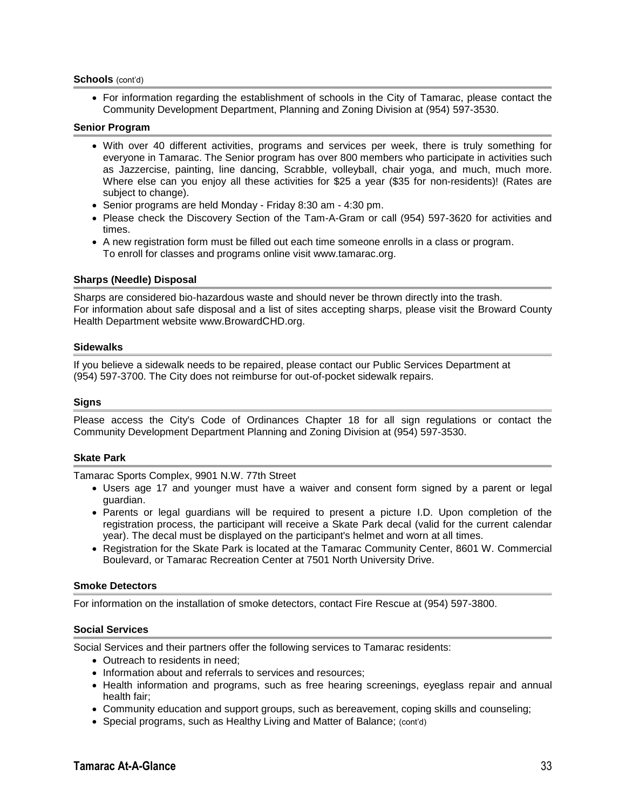#### **Schools** (cont'd)

 For information regarding the establishment of schools in the City of Tamarac, please contact the Community Development Department, Planning and Zoning Division at (954) 597-3530.

#### **Senior Program**

- With over 40 different activities, programs and services per week, there is truly something for everyone in Tamarac. The Senior program has over 800 members who participate in activities such as Jazzercise, painting, line dancing, Scrabble, volleyball, chair yoga, and much, much more. Where else can you enjoy all these activities for \$25 a year (\$35 for non-residents)! (Rates are subject to change).
- Senior programs are held Monday Friday 8:30 am 4:30 pm.
- Please check the Discovery Section of the Tam-A-Gram or call (954) 597-3620 for activities and times.
- A new registration form must be filled out each time someone enrolls in a class or program. To enroll for classes and programs online visit www.tamarac.org.

#### **Sharps (Needle) Disposal**

Sharps are considered bio-hazardous waste and should never be thrown directly into the trash. For information about safe disposal and a list of sites accepting sharps, please visit the Broward County Health Department website www.BrowardCHD.org.

#### **Sidewalks**

If you believe a sidewalk needs to be repaired, please contact our Public Services Department at (954) 597-3700. The City does not reimburse for out-of-pocket sidewalk repairs.

#### **Signs**

Please access the City's Code of Ordinances Chapter 18 for all sign regulations or contact the Community Development Department Planning and Zoning Division at (954) 597-3530.

#### **Skate Park**

Tamarac Sports Complex, 9901 N.W. 77th Street

- Users age 17 and younger must have a waiver and consent form signed by a parent or legal guardian.
- Parents or legal guardians will be required to present a picture I.D. Upon completion of the registration process, the participant will receive a Skate Park decal (valid for the current calendar year). The decal must be displayed on the participant's helmet and worn at all times.
- Registration for the Skate Park is located at the Tamarac Community Center, 8601 W. Commercial Boulevard, or Tamarac Recreation Center at 7501 North University Drive.

#### **Smoke Detectors**

For information on the installation of smoke detectors, contact Fire Rescue at (954) 597-3800.

#### **Social Services**

Social Services and their partners offer the following services to Tamarac residents:

- Outreach to residents in need:
- Information about and referrals to services and resources:
- Health information and programs, such as free hearing screenings, eyeglass repair and annual health fair;
- Community education and support groups, such as bereavement, coping skills and counseling;
- Special programs, such as Healthy Living and Matter of Balance; (cont'd)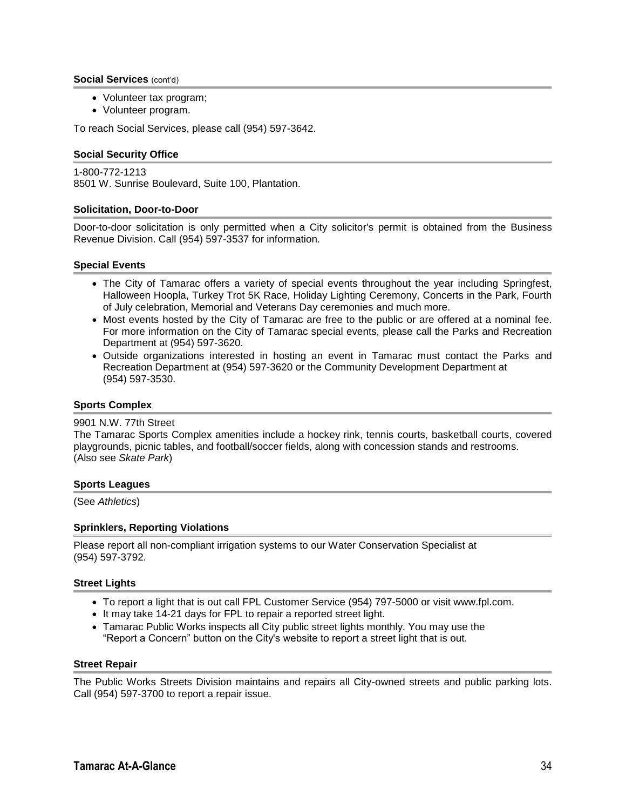#### **Social Services** (cont'd)

- Volunteer tax program;
- Volunteer program.

To reach Social Services, please call (954) 597-3642.

#### **Social Security Office**

1-800-772-1213 8501 W. Sunrise Boulevard, Suite 100, Plantation.

#### **Solicitation, Door-to-Door**

Door-to-door solicitation is only permitted when a City solicitor's permit is obtained from the Business Revenue Division. Call (954) 597-3537 for information.

#### **Special Events**

- The City of Tamarac offers a variety of special events throughout the year including Springfest, Halloween Hoopla, Turkey Trot 5K Race, Holiday Lighting Ceremony, Concerts in the Park, Fourth of July celebration, Memorial and Veterans Day ceremonies and much more.
- Most events hosted by the City of Tamarac are free to the public or are offered at a nominal fee. For more information on the City of Tamarac special events, please call the Parks and Recreation Department at (954) 597-3620.
- Outside organizations interested in hosting an event in Tamarac must contact the Parks and Recreation Department at (954) 597-3620 or the Community Development Department at (954) 597-3530.

#### **Sports Complex**

#### 9901 N.W. 77th Street

The Tamarac Sports Complex amenities include a hockey rink, tennis courts, basketball courts, covered playgrounds, picnic tables, and football/soccer fields, along with concession stands and restrooms. (Also see *Skate Park*)

#### **Sports Leagues**

(See *Athletics*)

#### **Sprinklers, Reporting Violations**

Please report all non-compliant irrigation systems to our Water Conservation Specialist at (954) 597-3792.

#### **Street Lights**

- To report a light that is out call FPL Customer Service (954) 797-5000 or visit www.fpl.com.
- It may take 14-21 days for FPL to repair a reported street light.
- Tamarac Public Works inspects all City public street lights monthly. You may use the "Report a Concern" button on the City's website to report a street light that is out.

#### **Street Repair**

The Public Works Streets Division maintains and repairs all City-owned streets and public parking lots. Call (954) 597-3700 to report a repair issue.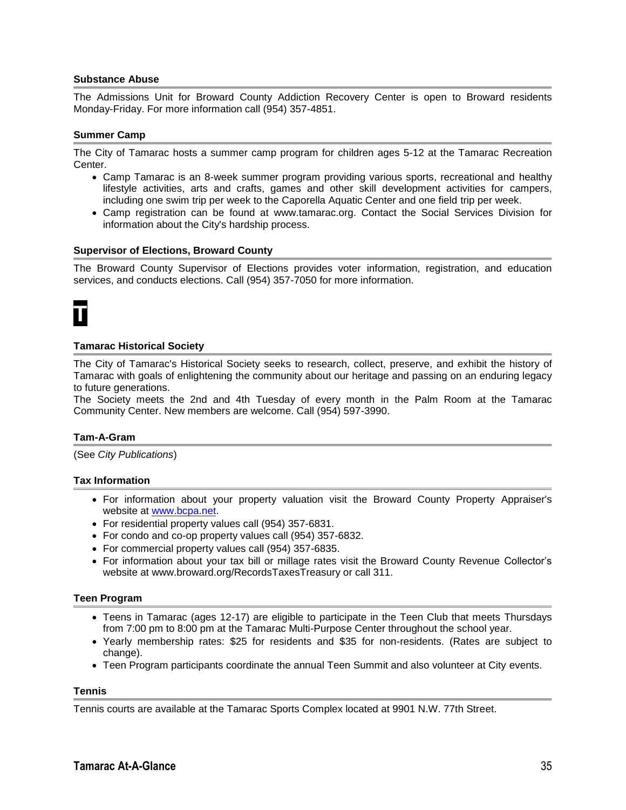#### **Substance Abuse**

The Admissions Unit for Broward County Addiction Recovery Center is open to Broward residents Monday-Friday. For more information call (954) 357-4851.

#### **Summer Camp**

The City of Tamarac hosts a summer camp program for children ages 5-12 at the Tamarac Recreation Center.

- Camp Tamarac is an 8-week summer program providing various sports, recreational and healthy lifestyle activities, arts and crafts, games and other skill development activities for campers, including one swim trip per week to the Caporella Aquatic Center and one field trip per week.
- Camp registration can be found at www.tamarac.org. Contact the Social Services Division for information about the City's hardship process.

#### **Supervisor of Elections, Broward County**

The Broward County Supervisor of Elections provides voter information, registration, and education services, and conducts elections. Call (954) 357-7050 for more information.

### **T**

#### **Tamarac Historical Society**

The City of Tamarac's Historical Society seeks to research, collect, preserve, and exhibit the history of Tamarac with goals of enlightening the community about our heritage and passing on an enduring legacy to future generations.

The Society meets the 2nd and 4th Tuesday of every month in the Palm Room at the Tamarac Community Center. New members are welcome. Call (954) 597-3990.

#### **Tam-A-Gram**

(See *City Publications*)

#### **Tax Information**

- For information about your property valuation visit the Broward County Property Appraiser's website at [www.bcpa.net.](http://www.bcpa.net/)
- For residential property values call (954) 357-6831.
- For condo and co-op property values call (954) 357-6832.
- For commercial property values call (954) 357-6835.
- For information about your tax bill or millage rates visit the Broward County Revenue Collector's website at www.broward.org/RecordsTaxesTreasury or call 311.

#### **Teen Program**

- Teens in Tamarac (ages 12-17) are eligible to participate in the Teen Club that meets Thursdays from 7:00 pm to 8:00 pm at the Tamarac Multi-Purpose Center throughout the school year.
- Yearly membership rates: \$25 for residents and \$35 for non-residents. (Rates are subject to change).
- Teen Program participants coordinate the annual Teen Summit and also volunteer at City events.

#### **Tennis**

Tennis courts are available at the Tamarac Sports Complex located at 9901 N.W. 77th Street.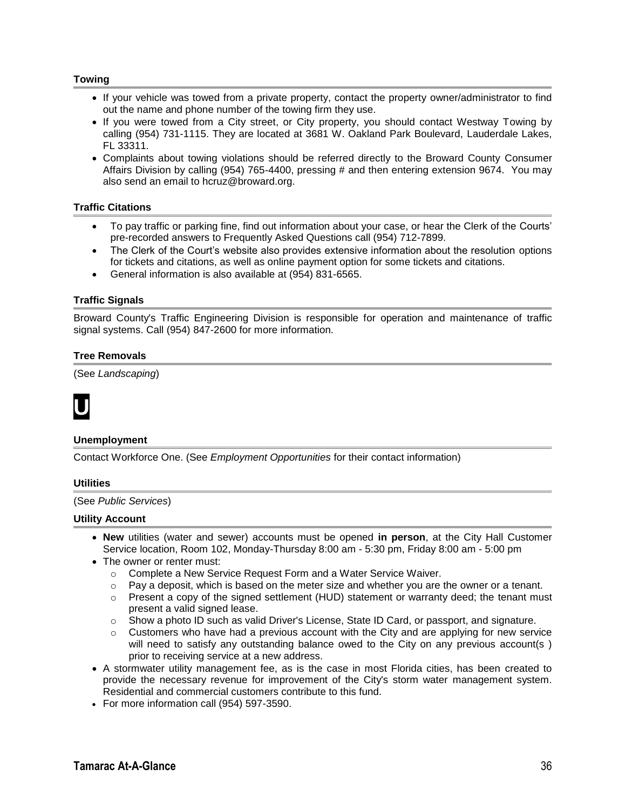#### **Towing**

- If your vehicle was towed from a private property, contact the property owner/administrator to find out the name and phone number of the towing firm they use.
- If you were towed from a City street, or City property, you should contact Westway Towing by calling (954) 731-1115. They are located at 3681 W. Oakland Park Boulevard, Lauderdale Lakes, FL 33311.
- Complaints about towing violations should be referred directly to the Broward County Consumer Affairs Division by calling (954) 765-4400, pressing # and then entering extension 9674. You may also send an email to hcruz@broward.org.

#### **Traffic Citations**

- To pay traffic or parking fine, find out information about your case, or hear the Clerk of the Courts' pre-recorded answers to Frequently Asked Questions call (954) 712-7899.
- The Clerk of the Court's website also provides extensive information about the resolution options for tickets and citations, as well as online payment option for some tickets and citations.
- General information is also available at (954) 831-6565.

#### **Traffic Signals**

Broward County's Traffic Engineering Division is responsible for operation and maintenance of traffic signal systems. Call (954) 847-2600 for more information.

#### **Tree Removals**

(See *Landscaping*)



#### **Unemployment**

Contact Workforce One. (See *Employment Opportunities* for their contact information)

#### **Utilities**

(See *Public Services*)

#### **Utility Account**

- **New** utilities (water and sewer) accounts must be opened **in person**, at the City Hall Customer Service location, Room 102, Monday-Thursday 8:00 am - 5:30 pm, Friday 8:00 am - 5:00 pm
- The owner or renter must:
	- o Complete a New Service Request Form and a Water Service Waiver.
	- $\circ$  Pay a deposit, which is based on the meter size and whether you are the owner or a tenant.
	- $\circ$  Present a copy of the signed settlement (HUD) statement or warranty deed; the tenant must present a valid signed lease.
	- $\circ$  Show a photo ID such as valid Driver's License, State ID Card, or passport, and signature.
	- $\circ$  Customers who have had a previous account with the City and are applying for new service will need to satisfy any outstanding balance owed to the City on any previous account(s) prior to receiving service at a new address.
- A stormwater utility management fee, as is the case in most Florida cities, has been created to provide the necessary revenue for improvement of the City's storm water management system. Residential and commercial customers contribute to this fund.
- For more information call (954) 597-3590.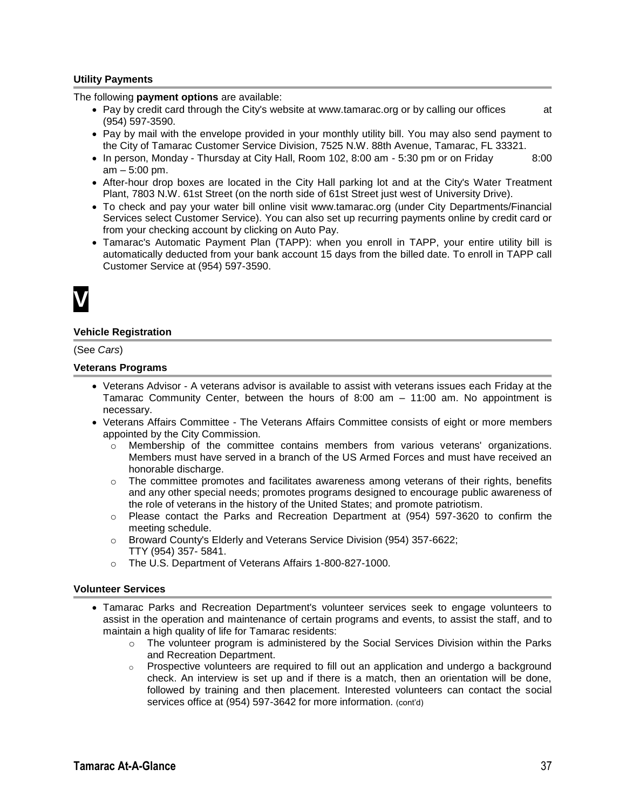#### **Utility Payments**

The following **payment options** are available:

- Pay by credit card through the City's website at www.tamarac.org or by calling our offices at (954) 597-3590.
- Pay by mail with the envelope provided in your monthly utility bill. You may also send payment to the City of Tamarac Customer Service Division, 7525 N.W. 88th Avenue, Tamarac, FL 33321.
- In person, Monday Thursday at City Hall, Room 102, 8:00 am 5:30 pm or on Friday 8:00 am – 5:00 pm.
- After-hour drop boxes are located in the City Hall parking lot and at the City's Water Treatment Plant, 7803 N.W. 61st Street (on the north side of 61st Street just west of University Drive).
- To check and pay your water bill online visit www.tamarac.org (under City Departments/Financial Services select Customer Service). You can also set up recurring payments online by credit card or from your checking account by clicking on Auto Pay.
- Tamarac's Automatic Payment Plan (TAPP): when you enroll in TAPP, your entire utility bill is automatically deducted from your bank account 15 days from the billed date. To enroll in TAPP call Customer Service at (954) 597-3590.



#### **Vehicle Registration**

(See *Cars*)

#### **Veterans Programs**

- Veterans Advisor A veterans advisor is available to assist with veterans issues each Friday at the Tamarac Community Center, between the hours of 8:00 am – 11:00 am. No appointment is necessary.
- Veterans Affairs Committee The Veterans Affairs Committee consists of eight or more members appointed by the City Commission.
	- $\circ$  Membership of the committee contains members from various veterans' organizations. Members must have served in a branch of the US Armed Forces and must have received an honorable discharge.
	- $\circ$  The committee promotes and facilitates awareness among veterans of their rights, benefits and any other special needs; promotes programs designed to encourage public awareness of the role of veterans in the history of the United States; and promote patriotism.
	- o Please contact the Parks and Recreation Department at (954) 597-3620 to confirm the meeting schedule.
	- o Broward County's Elderly and Veterans Service Division (954) 357-6622; TTY (954) 357- 5841.
	- o The U.S. Department of Veterans Affairs 1-800-827-1000.

#### **Volunteer Services**

- Tamarac Parks and Recreation Department's volunteer services seek to engage volunteers to assist in the operation and maintenance of certain programs and events, to assist the staff, and to maintain a high quality of life for Tamarac residents:
	- $\circ$  The volunteer program is administered by the Social Services Division within the Parks and Recreation Department.
	- $\circ$  Prospective volunteers are required to fill out an application and undergo a background check. An interview is set up and if there is a match, then an orientation will be done, followed by training and then placement. Interested volunteers can contact the social services office at (954) 597-3642 for more information. (cont'd)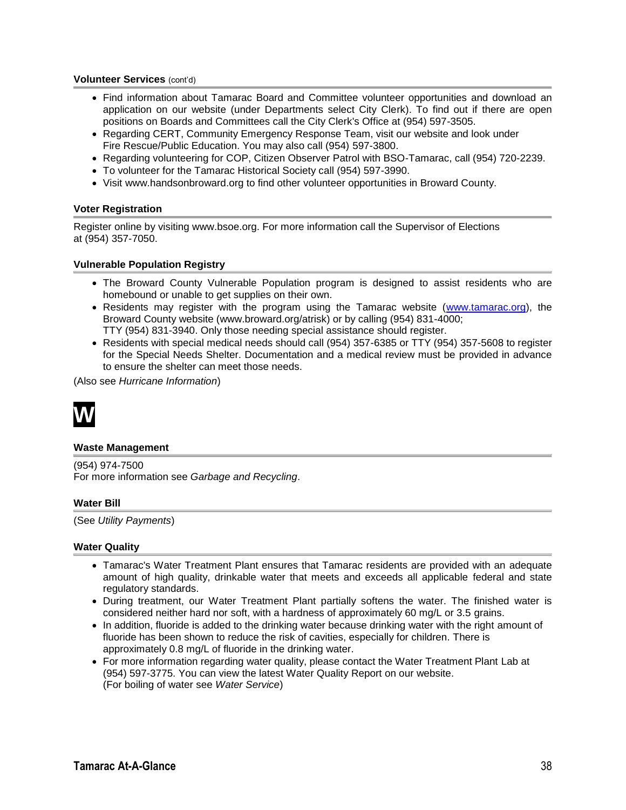#### **Volunteer Services** (cont'd)

- Find information about Tamarac Board and Committee volunteer opportunities and download an application on our website (under Departments select City Clerk). To find out if there are open positions on Boards and Committees call the City Clerk's Office at (954) 597-3505.
- Regarding CERT, Community Emergency Response Team, visit our website and look under Fire Rescue/Public Education. You may also call (954) 597-3800.
- Regarding volunteering for COP, Citizen Observer Patrol with BSO-Tamarac, call (954) 720-2239.
- To volunteer for the Tamarac Historical Society call (954) 597-3990.
- Visit www.handsonbroward.org to find other volunteer opportunities in Broward County.

#### **Voter Registration**

Register online by visiting www.bsoe.org. For more information call the Supervisor of Elections at (954) 357-7050.

#### **Vulnerable Population Registry**

- The Broward County Vulnerable Population program is designed to assist residents who are homebound or unable to get supplies on their own.
- Residents may register with the program using the Tamarac website [\(www.tamarac.org\)](http://www.tamarac.org/), the Broward County website (www.broward.org/atrisk) or by calling (954) 831-4000; TTY (954) 831-3940. Only those needing special assistance should register.
- Residents with special medical needs should call (954) 357-6385 or TTY (954) 357-5608 to register for the Special Needs Shelter. Documentation and a medical review must be provided in advance to ensure the shelter can meet those needs.

(Also see *Hurricane Information*)



#### **Waste Management**

(954) 974-7500 For more information see *Garbage and Recycling*.

#### **Water Bill**

(See *Utility Payments*)

#### **Water Quality**

- Tamarac's Water Treatment Plant ensures that Tamarac residents are provided with an adequate amount of high quality, drinkable water that meets and exceeds all applicable federal and state regulatory standards.
- During treatment, our Water Treatment Plant partially softens the water. The finished water is considered neither hard nor soft, with a hardness of approximately 60 mg/L or 3.5 grains.
- In addition, fluoride is added to the drinking water because drinking water with the right amount of fluoride has been shown to reduce the risk of cavities, especially for children. There is approximately 0.8 mg/L of fluoride in the drinking water.
- For more information regarding water quality, please contact the Water Treatment Plant Lab at (954) 597-3775. You can view the latest Water Quality Report on our website. (For boiling of water see *Water Service*)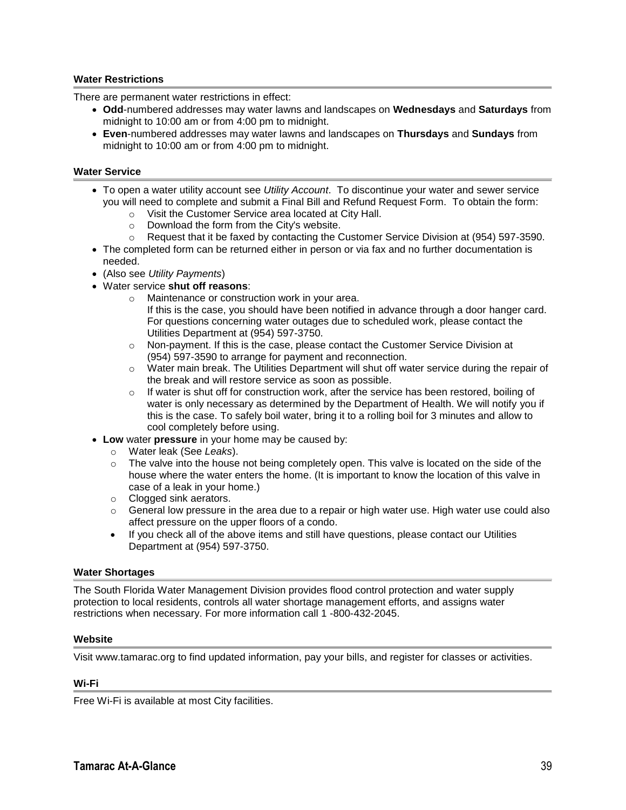#### **Water Restrictions**

There are permanent water restrictions in effect:

- **Odd**-numbered addresses may water lawns and landscapes on **Wednesdays** and **Saturdays** from midnight to 10:00 am or from 4:00 pm to midnight.
- **Even**-numbered addresses may water lawns and landscapes on **Thursdays** and **Sundays** from midnight to 10:00 am or from 4:00 pm to midnight.

#### **Water Service**

- To open a water utility account see *Utility Account*. To discontinue your water and sewer service you will need to complete and submit a Final Bill and Refund Request Form. To obtain the form:
	- o Visit the Customer Service area located at City Hall.
	- o Download the form from the City's website.
	- o Request that it be faxed by contacting the Customer Service Division at (954) 597-3590.
- The completed form can be returned either in person or via fax and no further documentation is needed.
- (Also see *Utility Payments*)
- Water service **shut off reasons**:
	- o Maintenance or construction work in your area. If this is the case, you should have been notified in advance through a door hanger card. For questions concerning water outages due to scheduled work, please contact the Utilities Department at (954) 597-3750.
	- $\circ$  Non-payment. If this is the case, please contact the Customer Service Division at (954) 597-3590 to arrange for payment and reconnection.
	- $\circ$  Water main break. The Utilities Department will shut off water service during the repair of the break and will restore service as soon as possible.
	- $\circ$  If water is shut off for construction work, after the service has been restored, boiling of water is only necessary as determined by the Department of Health. We will notify you if this is the case. To safely boil water, bring it to a rolling boil for 3 minutes and allow to cool completely before using.
- **Low** water **pressure** in your home may be caused by:
	- o Water leak (See *Leaks*).
	- $\circ$  The valve into the house not being completely open. This valve is located on the side of the house where the water enters the home. (It is important to know the location of this valve in case of a leak in your home.)
	- o Clogged sink aerators.
	- $\circ$  General low pressure in the area due to a repair or high water use. High water use could also affect pressure on the upper floors of a condo.
	- If you check all of the above items and still have questions, please contact our Utilities Department at (954) 597-3750.

#### **Water Shortages**

The South Florida Water Management Division provides flood control protection and water supply protection to local residents, controls all water shortage management efforts, and assigns water restrictions when necessary. For more information call 1 -800-432-2045.

#### **Website**

Visit www.tamarac.org to find updated information, pay your bills, and register for classes or activities.

#### **Wi-Fi**

Free Wi-Fi is available at most City facilities.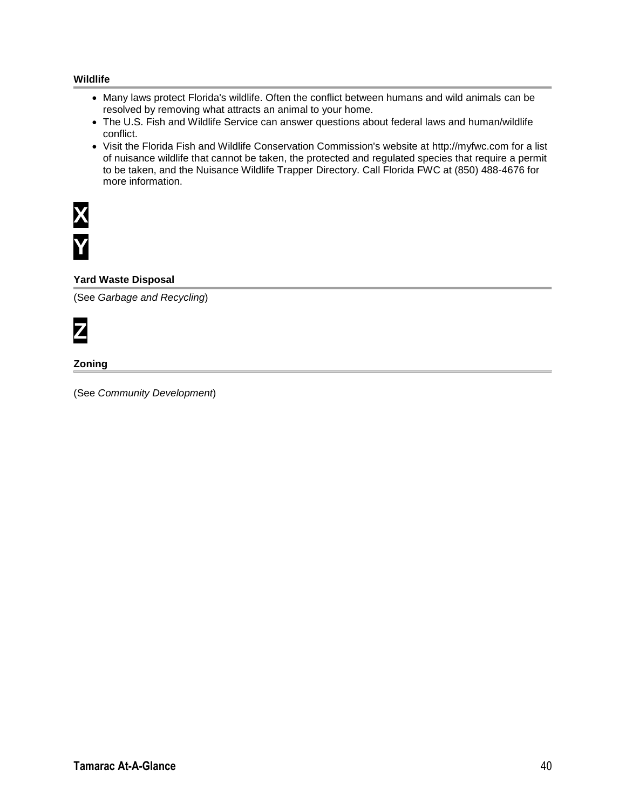#### **Wildlife**

- Many laws protect Florida's wildlife. Often the conflict between humans and wild animals can be resolved by removing what attracts an animal to your home.
- The U.S. Fish and Wildlife Service can answer questions about federal laws and human/wildlife conflict.
- Visit the Florida Fish and Wildlife Conservation Commission's website at http://myfwc.com for a list of nuisance wildlife that cannot be taken, the protected and regulated species that require a permit to be taken, and the Nuisance Wildlife Trapper Directory. Call Florida FWC at (850) 488-4676 for more information.



#### **Yard Waste Disposal**

(See *Garbage and Recycling*)



#### **Zoning**

(See *Community Development*)